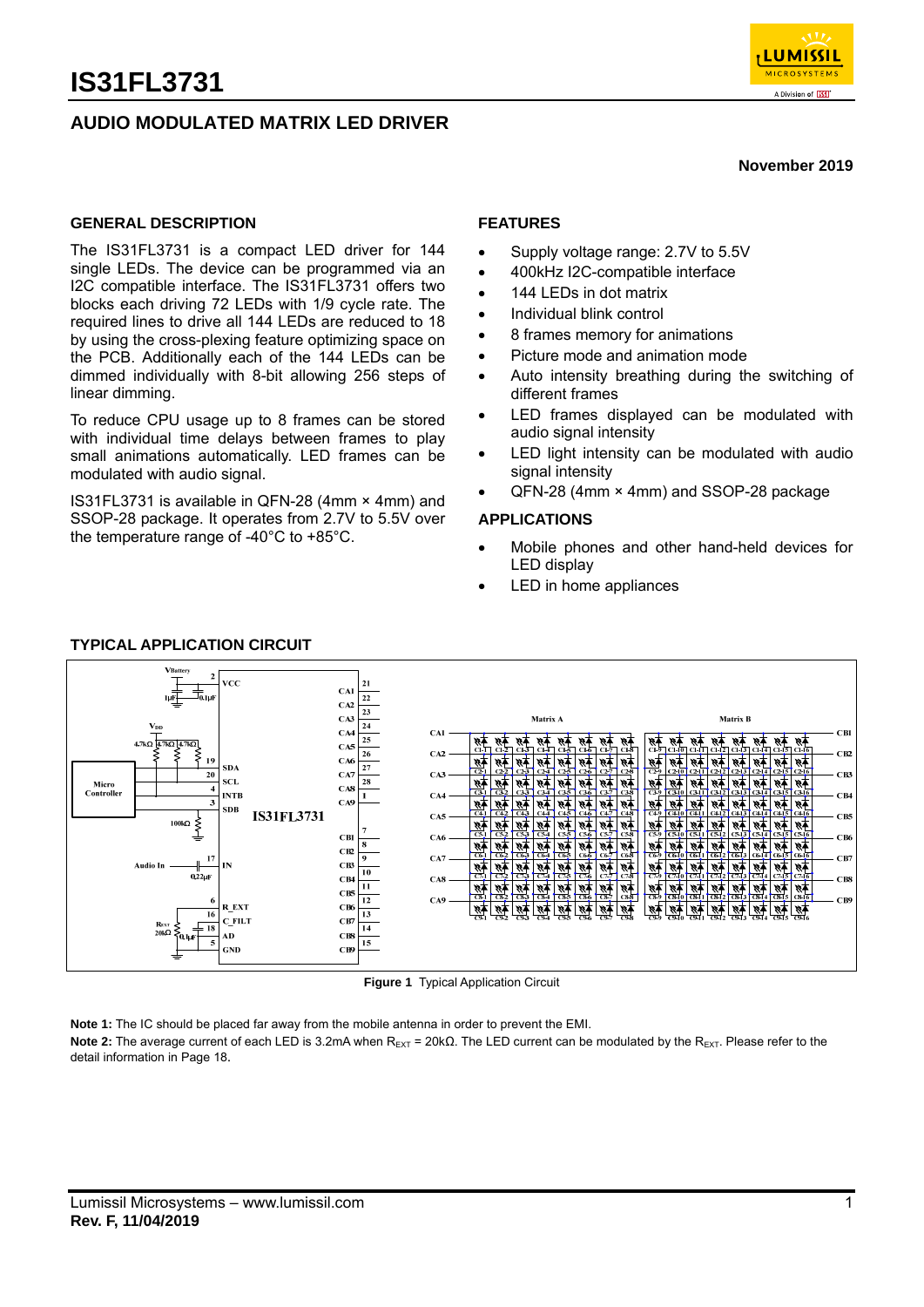



#### **November 2019**

#### **GENERAL DESCRIPTION**

The IS31FL3731 is a compact LED driver for 144 single LEDs. The device can be programmed via an I2C compatible interface. The IS31FL3731 offers two blocks each driving 72 LEDs with 1/9 cycle rate. The required lines to drive all 144 LEDs are reduced to 18 by using the cross-plexing feature optimizing space on the PCB. Additionally each of the 144 LEDs can be dimmed individually with 8-bit allowing 256 steps of linear dimming.

To reduce CPU usage up to 8 frames can be stored with individual time delays between frames to play small animations automatically. LED frames can be modulated with audio signal.

IS31FL3731 is available in QFN-28 (4mm × 4mm) and SSOP-28 package. It operates from 2.7V to 5.5V over the temperature range of -40°C to +85°C.

### **FEATURES**

- Supply voltage range: 2.7V to 5.5V
- 400kHz I2C-compatible interface
- 144 LEDs in dot matrix
- Individual blink control
- 8 frames memory for animations
- Picture mode and animation mode
- Auto intensity breathing during the switching of different frames
- LED frames displayed can be modulated with audio signal intensity
- LED light intensity can be modulated with audio signal intensity
- QFN-28 (4mm × 4mm) and SSOP-28 package

### **APPLICATIONS**

- Mobile phones and other hand-held devices for LED display
- LED in home appliances



#### **TYPICAL APPLICATION CIRCUIT**

**Figure 1** Typical Application Circuit

**Note 1:** The IC should be placed far away from the mobile antenna in order to prevent the EMI. Note 2: The average current of each LED is 3.2mA when R<sub>EXT</sub> = 20kΩ. The LED current can be modulated by the R<sub>EXT</sub>. Please refer to the detail information in Page 18.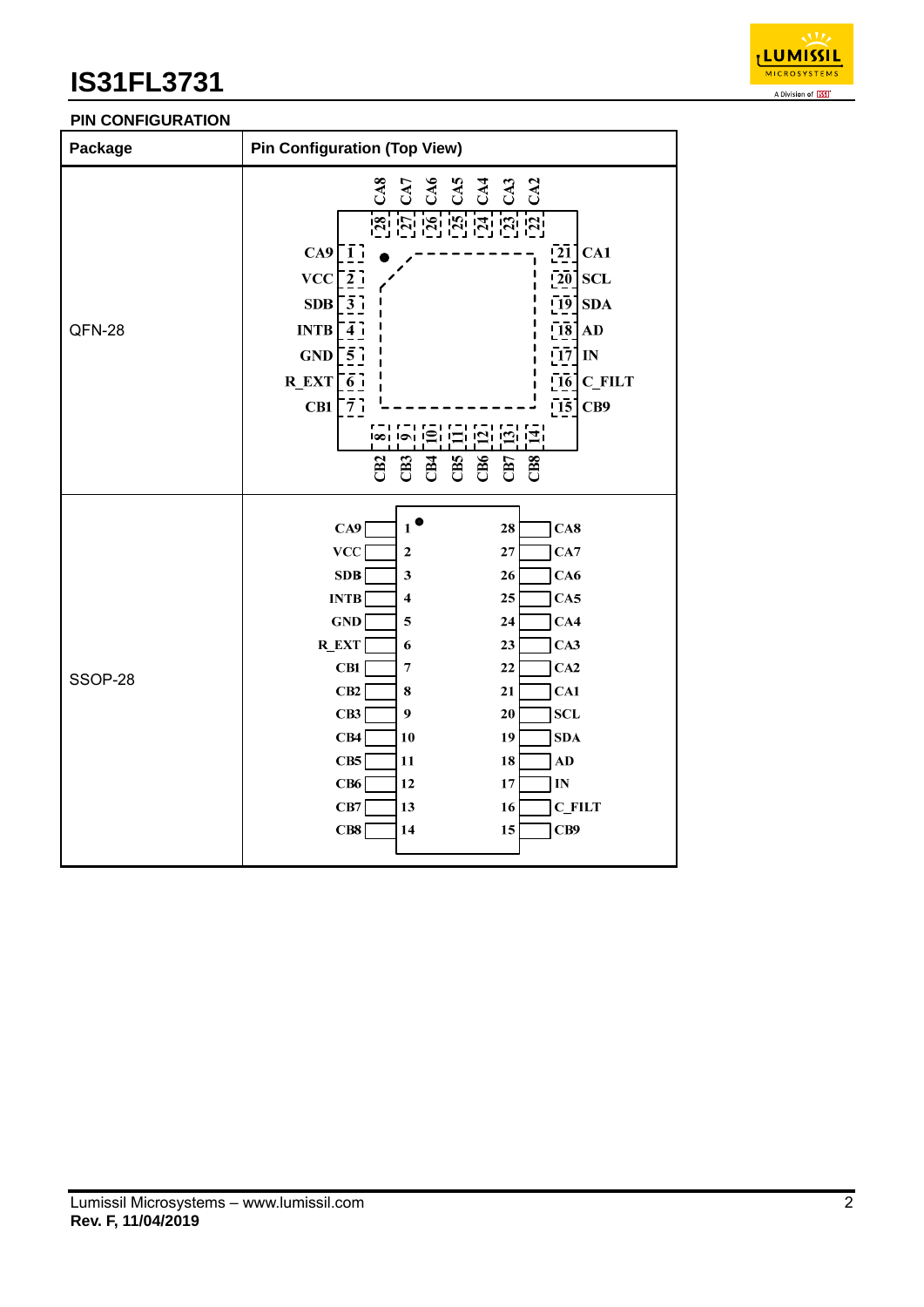

## **PIN CONFIGURATION**

| Package | <b>Pin Configuration (Top View)</b>                                                                                                                                                                                                                                                                                                                                                                                                                                          |
|---------|------------------------------------------------------------------------------------------------------------------------------------------------------------------------------------------------------------------------------------------------------------------------------------------------------------------------------------------------------------------------------------------------------------------------------------------------------------------------------|
| QFN-28  | 88<br>8888888<br>$CA9$ [1]<br>$\left[ 21 \right]$<br>CA1<br>$VCC$ [ $\overline{2}$ ]<br>$\overline{20}$<br><b>SCL</b><br>$SDB \sim 3.7$<br>$[19]$ SDA<br>[18]<br>INTB<br>AD<br>$\overline{4}$<br>$\bar{1}\bar{7}$<br>$GND$ $57$<br>IN<br>$[16]$ C_FILT<br>R EXT $\lceil \overline{6} \rceil$<br>$\overline{15}$<br>$CB1\overline{7}$<br>CB9<br>jaj jaj jaj<br>ורסו וסטו<br>CB6<br>CB5<br>CBS<br>CB7<br>$\overline{c}$<br>CB2<br>පි                                           |
| SSOP-28 | $\mathbf{1}^{\bullet}$<br>CA9<br>28<br>CA8<br><b>VCC</b><br>27<br>CA7<br>$\mathbf 2$<br>SDB<br>3<br>26<br>CA6<br><b>INTB</b><br>CA5<br>4<br>25<br><b>GND</b><br>CA4<br>5<br>24<br>$R$ <sub>_</sub> $EXT$<br>23<br>CA3<br>6<br>CB1<br>22<br>CA2<br>7<br>CB2<br>CA1<br>21<br>8<br>CB3<br>9<br>SCL<br>20<br>CB4<br>19<br>SDA<br>10<br>CB5<br>18<br>$\bf{A}\bf{D}$<br>11<br>CB6<br>12<br>$\bf 17$<br>$\mathbf{IN}$<br>CB7<br><b>C_FILT</b><br>13<br>16<br>CB8<br>15<br>CB9<br>14 |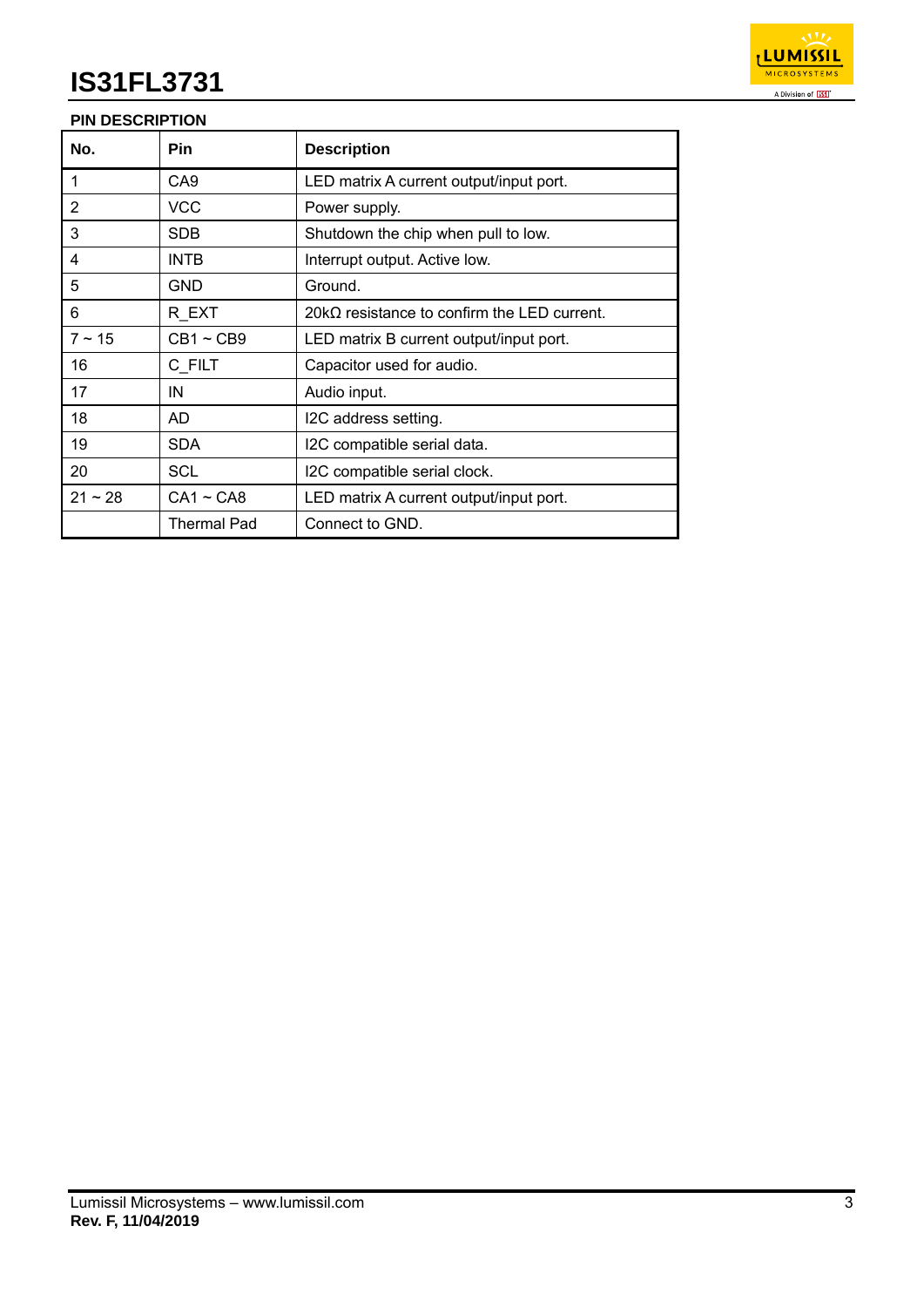

## **PIN DESCRIPTION**

| No.            | <b>Pin</b>      | <b>Description</b>                                  |
|----------------|-----------------|-----------------------------------------------------|
| $\overline{1}$ | CA <sub>9</sub> | LED matrix A current output/input port.             |
| 2              | VCC             | Power supply.                                       |
| 3              | <b>SDB</b>      | Shutdown the chip when pull to low.                 |
| 4              | <b>INTB</b>     | Interrupt output. Active low.                       |
| 5              | <b>GND</b>      | Ground.                                             |
| 6              | R EXT           | 20k $\Omega$ resistance to confirm the LED current. |
| $7 \sim 15$    | $CB1 \sim CB9$  | LED matrix B current output/input port.             |
| 16             | C_FILT          | Capacitor used for audio.                           |
| 17             | IN              | Audio input.                                        |
| 18             | AD              | I2C address setting.                                |
| 19             | <b>SDA</b>      | I2C compatible serial data.                         |
| 20             | SCL             | I2C compatible serial clock.                        |
| $21 - 28$      | $CA1 \sim CAB$  | LED matrix A current output/input port.             |
|                | Thermal Pad     | Connect to GND.                                     |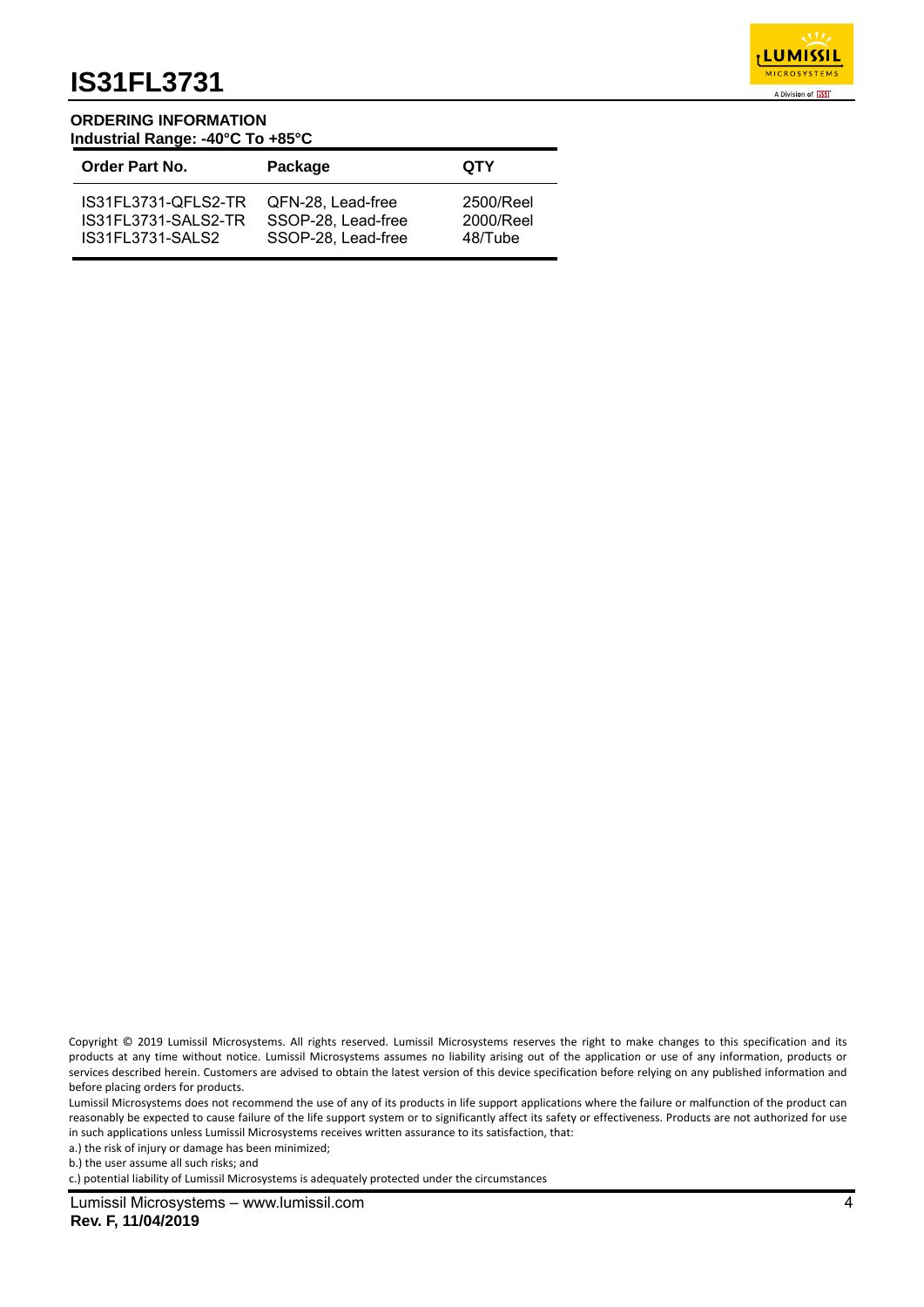

#### **ORDERING INFORMATION Industrial Range: -40°C To +85°C**

| <b>Order Part No.</b> | Package            | <b>QTY</b> |
|-----------------------|--------------------|------------|
| IS31FL3731-OFLS2-TR   | QFN-28. Lead-free  | 2500/Reel  |
| IS31FL3731-SALS2-TR   | SSOP-28, Lead-free | 2000/Reel  |
| IS31FL3731-SALS2      | SSOP-28, Lead-free | 48/Tube    |

Copyright © 2019 Lumissil Microsystems. All rights reserved. Lumissil Microsystems reserves the right to make changes to this specification and its products at any time without notice. Lumissil Microsystems assumes no liability arising out of the application or use of any information, products or services described herein. Customers are advised to obtain the latest version of this device specification before relying on any published information and before placing orders for products.

Lumissil Microsystems does not recommend the use of any of its products in life support applications where the failure or malfunction of the product can reasonably be expected to cause failure of the life support system or to significantly affect its safety or effectiveness. Products are not authorized for use in such applications unless Lumissil Microsystems receives written assurance to its satisfaction, that:

a.) the risk of injury or damage has been minimized;

b.) the user assume all such risks; and

c.) potential liability of Lumissil Microsystems is adequately protected under the circumstances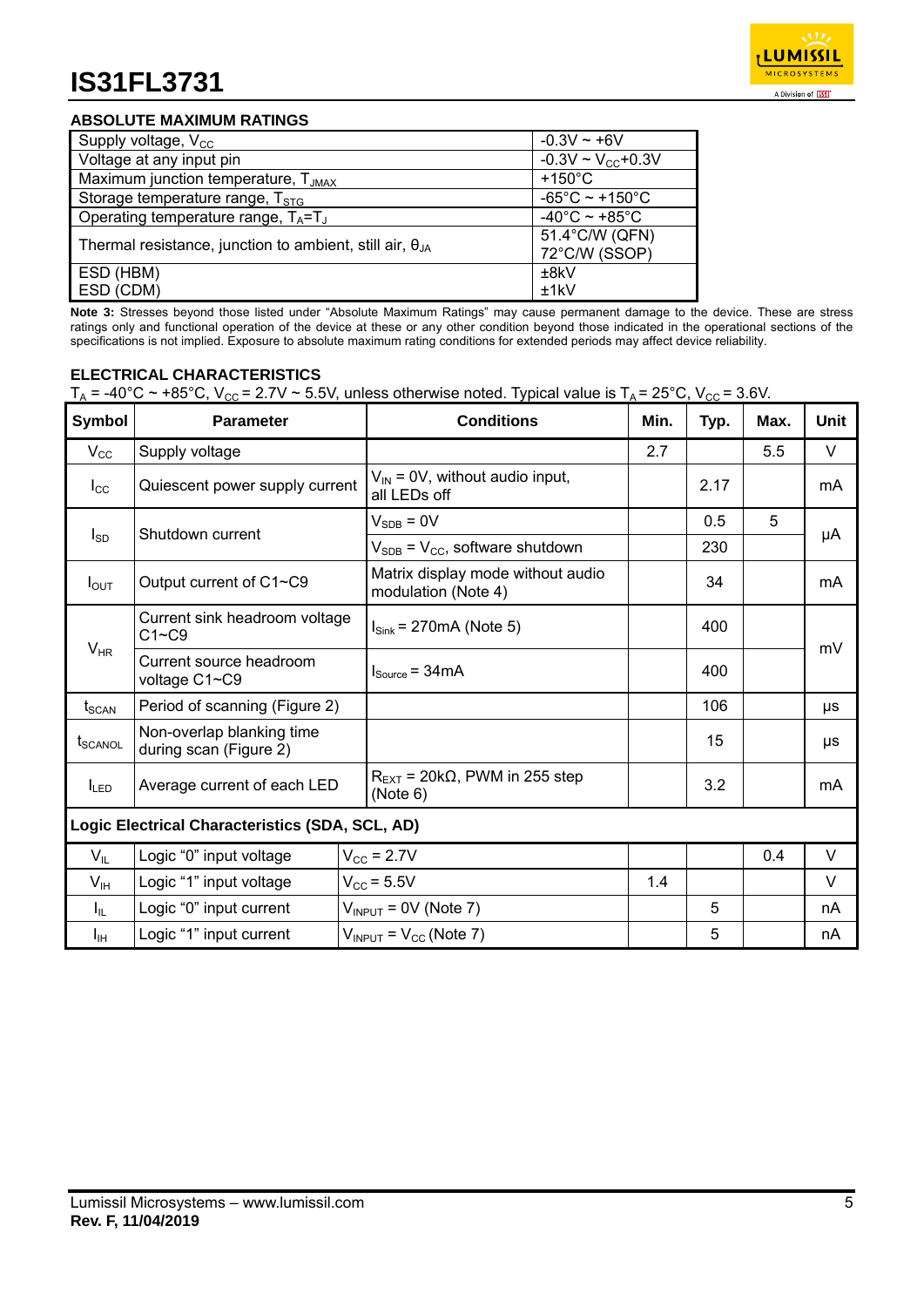

## **ABSOLUTE MAXIMUM RATINGS**

| Supply voltage, $V_{\text{cc}}$                                   | $-0.3V - +6V$                       |
|-------------------------------------------------------------------|-------------------------------------|
| Voltage at any input pin                                          | $-0.3V \sim V_{CC} + 0.3V$          |
| Maximum junction temperature, T <sub>JMAX</sub>                   | $+150^{\circ}$ C                    |
| Storage temperature range, $T_{STG}$                              | $-65^{\circ}$ C ~ +150 $^{\circ}$ C |
| Operating temperature range, $T_A = T_J$                          | -40°C ~ +85°C                       |
| Thermal resistance, junction to ambient, still air, $\theta_{JA}$ | 51.4°C/W (QFN)<br>72°C/W (SSOP)     |
| ESD (HBM)                                                         | ±8kV                                |
| ESD (CDM)                                                         | ±1kV                                |

**Note 3:** Stresses beyond those listed under "Absolute Maximum Ratings" may cause permanent damage to the device. These are stress ratings only and functional operation of the device at these or any other condition beyond those indicated in the operational sections of the specifications is not implied. Exposure to absolute maximum rating conditions for extended periods may affect device reliability.

## **ELECTRICAL CHARACTERISTICS**

| Symbol                                          | <b>Parameter</b>                                    | <b>Conditions</b>                                             | Min. | Typ. | Max. | <b>Unit</b> |
|-------------------------------------------------|-----------------------------------------------------|---------------------------------------------------------------|------|------|------|-------------|
| $V_{\rm CC}$                                    | Supply voltage                                      |                                                               | 2.7  |      | 5.5  | V           |
| $I_{\rm CC}$                                    | Quiescent power supply current                      | $V_{IN}$ = 0V, without audio input,<br>all LEDs off           |      | 2.17 |      | mA          |
|                                                 | Shutdown current                                    | $V_{SDB} = 0V$                                                |      | 0.5  | 5    |             |
| $I_{SD}$                                        |                                                     | $V_{SDB}$ = $V_{CC}$ , software shutdown                      |      | 230  |      | μA          |
| $I_{\text{OUT}}$                                | Output current of C1~C9                             | Matrix display mode without audio<br>modulation (Note 4)      |      | 34   |      | mA          |
|                                                 | Current sink headroom voltage<br>$C1 - C9$          | $I_{\text{Sink}}$ = 270mA (Note 5)                            |      | 400  |      | mV          |
| $V_{HR}$                                        | Current source headroom<br>voltage C1~C9            | $I_{Source} = 34mA$                                           |      | 400  |      |             |
| t <sub>scan</sub>                               | Period of scanning (Figure 2)                       |                                                               |      | 106  |      | μs          |
| <b>t</b> <sub>SCANOL</sub>                      | Non-overlap blanking time<br>during scan (Figure 2) |                                                               |      | 15   |      | μs          |
| I <sub>LED</sub>                                | Average current of each LED                         | $R_{\text{EXT}}$ = 20k $\Omega$ , PWM in 255 step<br>(Note 6) |      | 3.2  |      | mA          |
| Logic Electrical Characteristics (SDA, SCL, AD) |                                                     |                                                               |      |      |      |             |
| $V_{IL}$                                        | Logic "0" input voltage                             | $V_{\text{CC}}$ = 2.7V                                        |      |      | 0.4  | V           |
| V <sub>IH</sub>                                 | Logic "1" input voltage                             | $V_{\text{CC}}$ = 5.5V                                        | 1.4  |      |      | V           |
| $I_{\rm IL}$                                    | Logic "0" input current                             | $V_{INPUT}$ = 0V (Note 7)                                     |      | 5    |      | nA          |
| Īщ                                              | Logic "1" input current                             | $V_{INPUT}$ = $V_{CC}$ (Note 7)                               |      | 5    |      | nA          |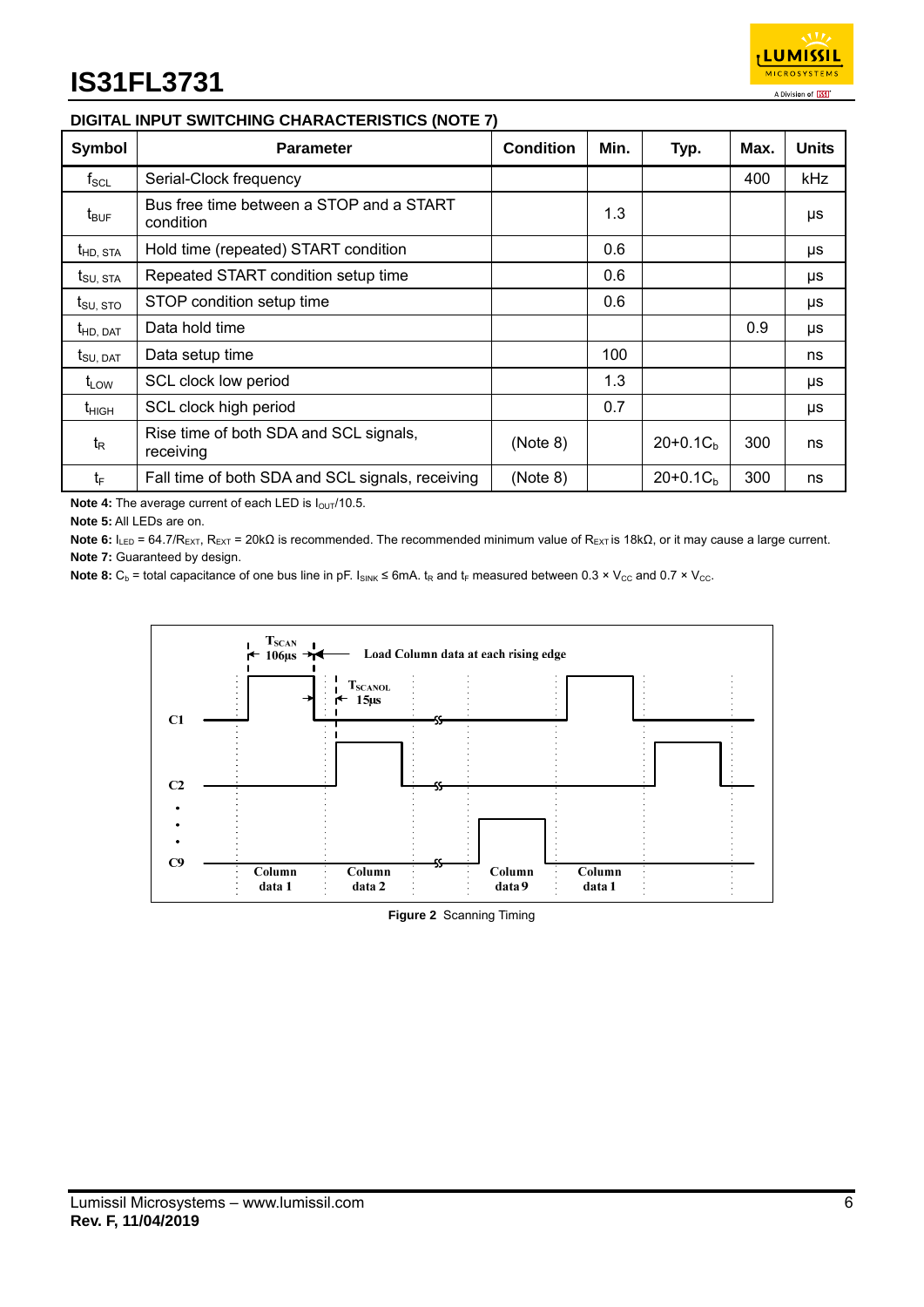

## **DIGITAL INPUT SWITCHING CHARACTERISTICS (NOTE 7)**

| <b>Symbol</b>               | <b>Parameter</b>                                      | <b>Condition</b> | Min. | Typ.       | Max. | <b>Units</b> |
|-----------------------------|-------------------------------------------------------|------------------|------|------------|------|--------------|
| $f_{\rm SCL}$               | Serial-Clock frequency                                |                  |      |            | 400  | kHz          |
| $t_{\mathsf{BUF}}$          | Bus free time between a STOP and a START<br>condition |                  | 1.3  |            |      | μs           |
| $t_{HD,STA}$                | Hold time (repeated) START condition                  |                  | 0.6  |            |      | μs           |
| $t_{\text{SU, STA}}$        | Repeated START condition setup time                   |                  | 0.6  |            |      | μs           |
| $t_{\rm SU,~STO}$           | STOP condition setup time                             |                  | 0.6  |            |      | μs           |
| $t_{HD, DAT}$               | Data hold time                                        |                  |      |            | 0.9  | μs           |
| $t_{\text{SU, DAT}}$        | Data setup time                                       |                  | 100  |            |      | ns           |
| $\mathsf{t}_{\mathsf{LOW}}$ | SCL clock low period                                  |                  | 1.3  |            |      | μs           |
| $t_{HIGH}$                  | SCL clock high period                                 |                  | 0.7  |            |      | μs           |
| $t_{\mathsf{R}}$            | Rise time of both SDA and SCL signals,<br>receiving   | (Note 8)         |      | $20+0.1Cb$ | 300  | ns           |
| $t_F$                       | Fall time of both SDA and SCL signals, receiving      | (Note 8)         |      | $20+0.1Cb$ | 300  | ns           |

Note 4: The average current of each LED is  $I_{\text{OUT}}/10.5$ .

**Note 5:** All LEDs are on.

Note 6: I<sub>LED</sub> = 64.7/R<sub>EXT</sub>, R<sub>EXT</sub> = 20kΩ is recommended. The recommended minimum value of R<sub>EXT</sub> is 18kΩ, or it may cause a large current. **Note 7:** Guaranteed by design.

Note 8:  $C_b$  = total capacitance of one bus line in pF.  $I_{SINK} \le 6mA$ .  $t_R$  and  $t_F$  measured between 0.3 × V<sub>CC</sub> and 0.7 × V<sub>CC</sub>.



**Figure 2** Scanning Timing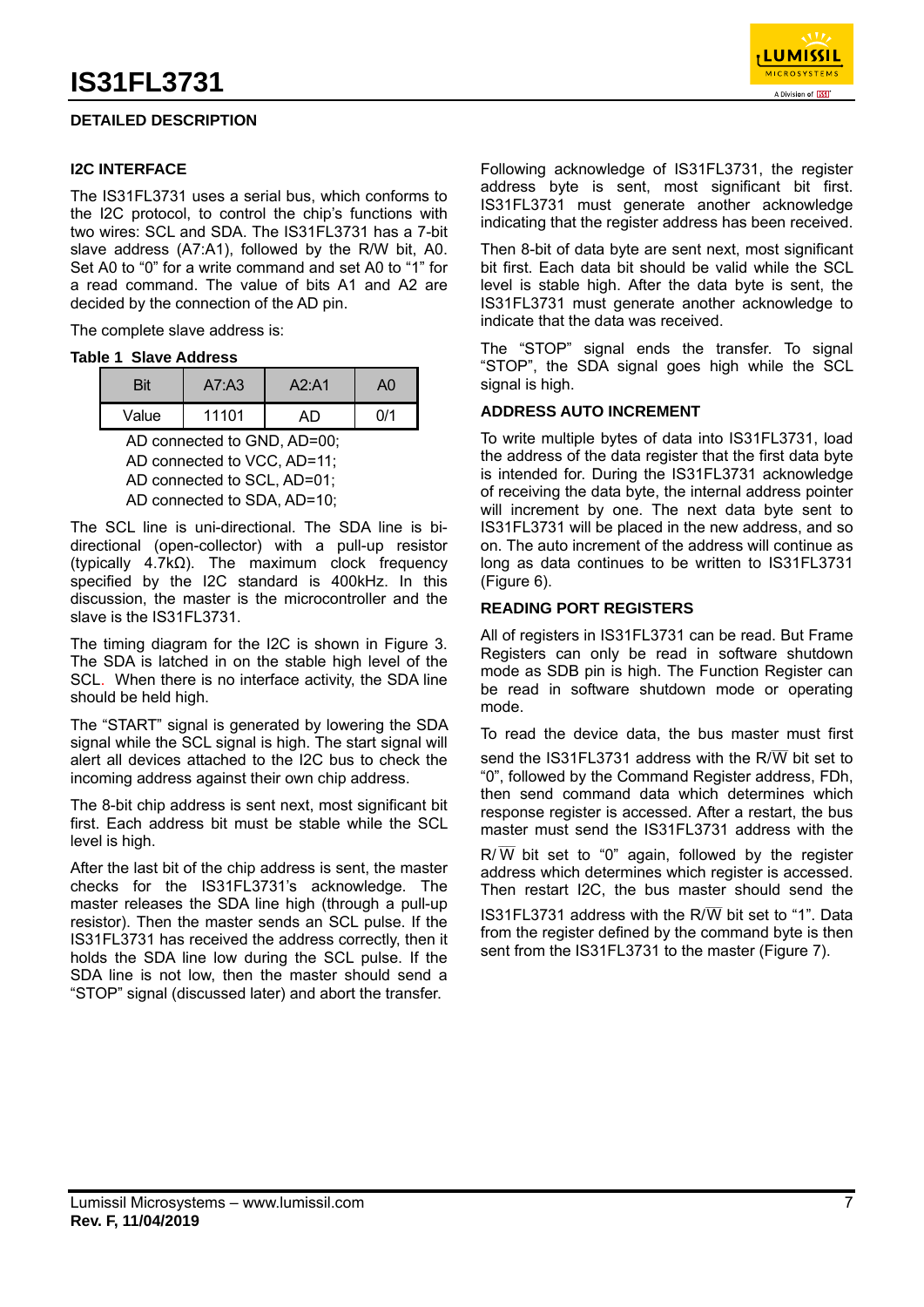## **DETAILED DESCRIPTION**

### **I2C INTERFACE**

The IS31FL3731 uses a serial bus, which conforms to the I2C protocol, to control the chip's functions with two wires: SCL and SDA. The IS31FL3731 has a 7-bit slave address (A7:A1), followed by the R/W bit, A0. Set A0 to "0" for a write command and set A0 to "1" for a read command. The value of bits A1 and A2 are decided by the connection of the AD pin.

The complete slave address is:

#### **Table 1 Slave Address**

|       | A7: A3 | A2:A1 | ላበ  |
|-------|--------|-------|-----|
| Value | 11101  |       | በ/1 |

 AD connected to GND, AD=00; AD connected to VCC, AD=11; AD connected to SCL, AD=01; AD connected to SDA, AD=10;

The SCL line is uni-directional. The SDA line is bidirectional (open-collector) with a pull-up resistor (typically 4.7kΩ). The maximum clock frequency specified by the I2C standard is 400kHz. In this discussion, the master is the microcontroller and the slave is the IS31FL3731.

The timing diagram for the I2C is shown in Figure 3. The SDA is latched in on the stable high level of the SCL. When there is no interface activity, the SDA line should be held high.

The "START" signal is generated by lowering the SDA signal while the SCL signal is high. The start signal will alert all devices attached to the I2C bus to check the incoming address against their own chip address.

The 8-bit chip address is sent next, most significant bit first. Each address bit must be stable while the SCL level is high.

After the last bit of the chip address is sent, the master checks for the IS31FL3731's acknowledge. The master releases the SDA line high (through a pull-up resistor). Then the master sends an SCL pulse. If the IS31FL3731 has received the address correctly, then it holds the SDA line low during the SCL pulse. If the SDA line is not low, then the master should send a "STOP" signal (discussed later) and abort the transfer.



Following acknowledge of IS31FL3731, the register address byte is sent, most significant bit first. IS31FL3731 must generate another acknowledge indicating that the register address has been received.

Then 8-bit of data byte are sent next, most significant bit first. Each data bit should be valid while the SCL level is stable high. After the data byte is sent, the IS31FL3731 must generate another acknowledge to indicate that the data was received.

The "STOP" signal ends the transfer. To signal "STOP", the SDA signal goes high while the SCL signal is high.

#### **ADDRESS AUTO INCREMENT**

To write multiple bytes of data into IS31FL3731, load the address of the data register that the first data byte is intended for. During the IS31FL3731 acknowledge of receiving the data byte, the internal address pointer will increment by one. The next data byte sent to IS31FL3731 will be placed in the new address, and so on. The auto increment of the address will continue as long as data continues to be written to IS31FL3731 (Figure 6).

#### **READING PORT REGISTERS**

All of registers in IS31FL3731 can be read. But Frame Registers can only be read in software shutdown mode as SDB pin is high. The Function Register can be read in software shutdown mode or operating mode.

To read the device data, the bus master must first

send the IS31FL3731 address with the R/ $\overline{W}$  bit set to "0", followed by the Command Register address, FDh, then send command data which determines which response register is accessed. After a restart, the bus master must send the IS31FL3731 address with the

 $R/\overline{W}$  bit set to "0" again, followed by the register address which determines which register is accessed. Then restart I2C, the bus master should send the

IS31FL3731 address with the  $R/\overline{W}$  bit set to "1". Data from the register defined by the command byte is then sent from the IS31FL3731 to the master (Figure 7).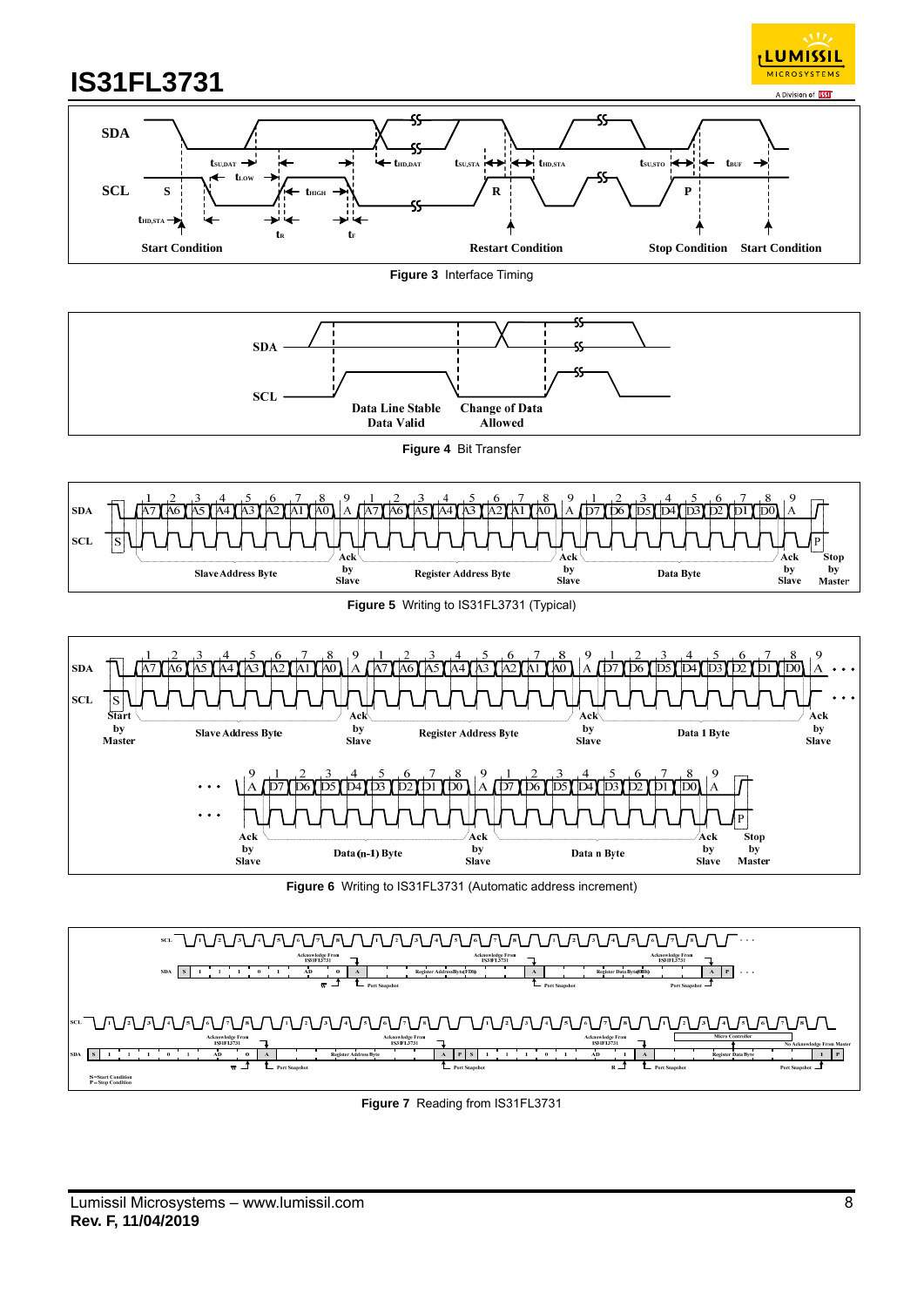



#### **Figure 3** Interface Timing



#### **Figure 4** Bit Transfer





**Figure 6** Writing to IS31FL3731 (Automatic address increment)



#### **Figure 7** Reading from IS31FL3731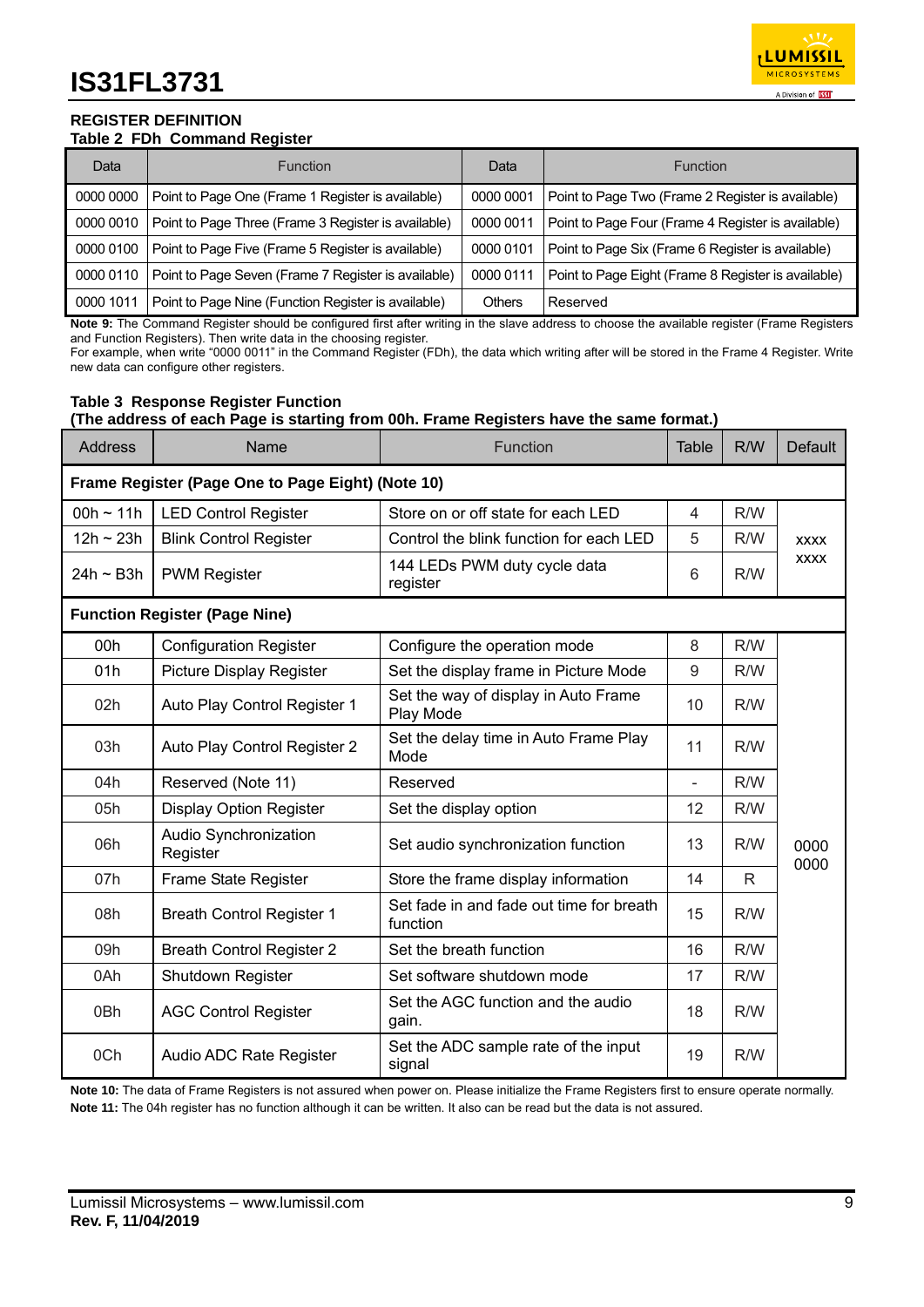

#### **REGISTER DEFINITION Table 2 FDh Command Register**

| Data      | <b>Function</b>                                     | Data          | <b>Function</b>                                     |
|-----------|-----------------------------------------------------|---------------|-----------------------------------------------------|
| 0000 0000 | Point to Page One (Frame 1 Register is available)   | 0000 0001     | Point to Page Two (Frame 2 Register is available)   |
| 0000 0010 | Point to Page Three (Frame 3 Register is available) | 0000 0011     | Point to Page Four (Frame 4 Register is available)  |
| 0000 0100 | Point to Page Five (Frame 5 Register is available)  | 0000 0101     | Point to Page Six (Frame 6 Register is available)   |
| 0000 0110 | Point to Page Seven (Frame 7 Register is available) | 0000 0111     | Point to Page Eight (Frame 8 Register is available) |
| 0000 1011 | Point to Page Nine (Function Register is available) | <b>Others</b> | Reserved                                            |

**Note 9:** The Command Register should be configured first after writing in the slave address to choose the available register (Frame Registers and Function Registers). Then write data in the choosing register.

For example, when write "0000 0011" in the Command Register (FDh), the data which writing after will be stored in the Frame 4 Register. Write new data can configure other registers.

#### **Table 3 Response Register Function (The address of each Page is starting from 00h. Frame Registers have the same format.)**

| <b>Address</b> | Name                                              | Function                                             | Table          | R/W          | <b>Default</b> |
|----------------|---------------------------------------------------|------------------------------------------------------|----------------|--------------|----------------|
|                | Frame Register (Page One to Page Eight) (Note 10) |                                                      |                |              |                |
| 00h ~ 11h      | <b>LED Control Register</b>                       | Store on or off state for each LED                   | $\overline{4}$ | R/W          |                |
| $12h - 23h$    | <b>Blink Control Register</b>                     | Control the blink function for each LED              | 5              | R/W          | <b>XXXX</b>    |
| $24h \sim B3h$ | <b>PWM Register</b>                               | 144 LEDs PWM duty cycle data<br>register             | 6              | R/W          | <b>XXXX</b>    |
|                | <b>Function Register (Page Nine)</b>              |                                                      |                |              |                |
| 00h            | <b>Configuration Register</b>                     | Configure the operation mode                         | 8              | R/W          |                |
| 01h            | <b>Picture Display Register</b>                   | Set the display frame in Picture Mode                | $9\,$          | R/W          |                |
| 02h            | Auto Play Control Register 1                      | Set the way of display in Auto Frame<br>Play Mode    | 10             | R/W          |                |
| 03h            | Auto Play Control Register 2                      | Set the delay time in Auto Frame Play<br>Mode        | 11             | R/W          |                |
| 04h            | Reserved (Note 11)                                | Reserved                                             | $\overline{a}$ | R/W          |                |
| 05h            | <b>Display Option Register</b>                    | Set the display option                               | 12             | R/W          |                |
| 06h            | Audio Synchronization<br>Register                 | Set audio synchronization function                   | 13             | R/W          | 0000<br>0000   |
| 07h            | Frame State Register                              | Store the frame display information                  | 14             | $\mathsf{R}$ |                |
| 08h            | <b>Breath Control Register 1</b>                  | Set fade in and fade out time for breath<br>function | 15             | R/W          |                |
| 09h            | <b>Breath Control Register 2</b>                  | Set the breath function                              | 16             | R/W          |                |
| 0Ah            | Shutdown Register                                 | Set software shutdown mode                           | 17             | R/W          |                |
| 0Bh            | <b>AGC Control Register</b>                       | Set the AGC function and the audio<br>gain.          | 18             | R/W          |                |
| 0Ch            | Audio ADC Rate Register                           | Set the ADC sample rate of the input<br>signal       | 19             | R/W          |                |

**Note 10:** The data of Frame Registers is not assured when power on. Please initialize the Frame Registers first to ensure operate normally. **Note 11:** The 04h register has no function although it can be written. It also can be read but the data is not assured.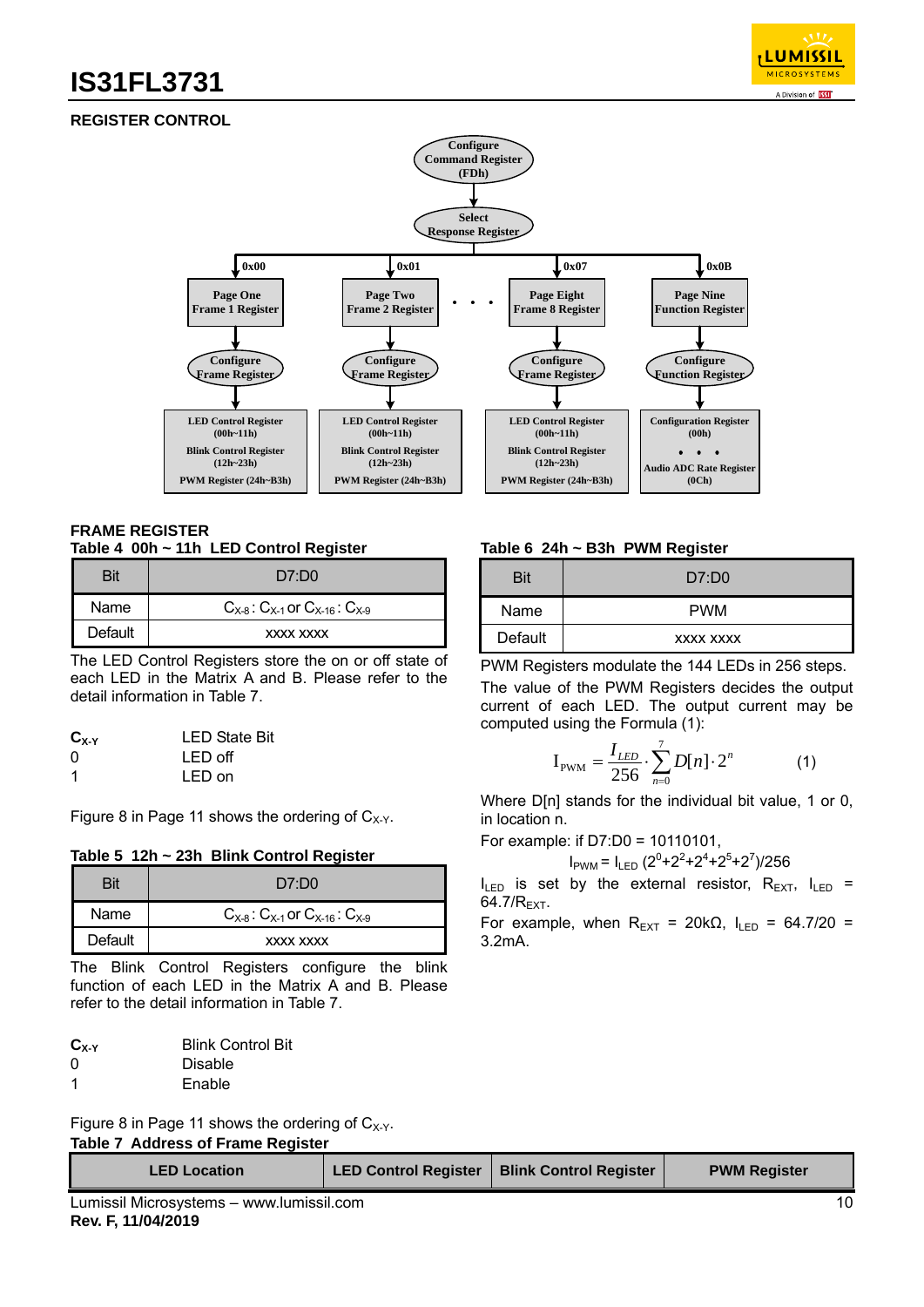

## **REGISTER CONTROL**



#### **FRAME REGISTER Table 4 00h ~ 11h LED Control Register**

|         | D7:DO                                           |
|---------|-------------------------------------------------|
| Name    | $C_{X-8}$ : $C_{X-1}$ or $C_{X-16}$ : $C_{X-9}$ |
| Default | XXXX XXXX                                       |

The LED Control Registers store the on or off state of each LED in the Matrix A and B. Please refer to the detail information in Table 7.

| $\mathbf{C}_{\mathbf{X}\cdot\mathbf{Y}}$ | <b>LED State Bit</b> |
|------------------------------------------|----------------------|
| 0                                        | LED off              |
| 1                                        | LED on               |

Figure 8 in Page 11 shows the ordering of  $C_{X-Y}$ .

#### **Table 5 12h ~ 23h Blink Control Register**

| Bit     | D7:DO                                           |
|---------|-------------------------------------------------|
| Name    | $C_{X-8}$ : $C_{X-1}$ or $C_{X-16}$ : $C_{X-9}$ |
| Default | XXXX XXXX                                       |

The Blink Control Registers configure the blink function of each LED in the Matrix A and B. Please refer to the detail information in Table 7.

| $C_{X-Y}$ | <b>Blink Control Bit</b> |
|-----------|--------------------------|
| 0         | Disable                  |
| -1        | Enable                   |

Figure 8 in Page 11 shows the ordering of  $C_{X-Y}$ .

**Table 7 Address of Frame Register** 

| <b>LED Location</b>                       | <b>LED Control Register</b> | <b>Blink Control Register</b> | <b>PWM Register</b> |  |
|-------------------------------------------|-----------------------------|-------------------------------|---------------------|--|
| Lumiecil Microevetome<br>www.lumiccil.com |                             |                               |                     |  |

#### **Table 6 24h ~ B3h PWM Register**

| Bit     | D7:DD0     |
|---------|------------|
| Name    | <b>PWM</b> |
| Default | XXXX XXXX  |

PWM Registers modulate the 144 LEDs in 256 steps.

The value of the PWM Registers decides the output current of each LED. The output current may be computed using the Formula (1):

$$
I_{\text{PWM}} = \frac{I_{LED}}{256} \cdot \sum_{n=0}^{7} D[n] \cdot 2^n \tag{1}
$$

Where D[n] stands for the individual bit value, 1 or 0, in location n.

For example: if D7:D0 = 10110101,

$$
I_{\text{PWM}} = I_{\text{LED}} \, (2^0 + 2^2 + 2^4 + 2^5 + 2^7)/256
$$

 $I_{LED}$  is set by the external resistor,  $R_{EXT}$ ,  $I_{LED}$  = 64.7 $/R_{\text{EXT}}$ .

For example, when  $R_{\text{EXT}} = 20k\Omega$ ,  $I_{\text{LED}} = 64.7/20 =$ 3.2mA.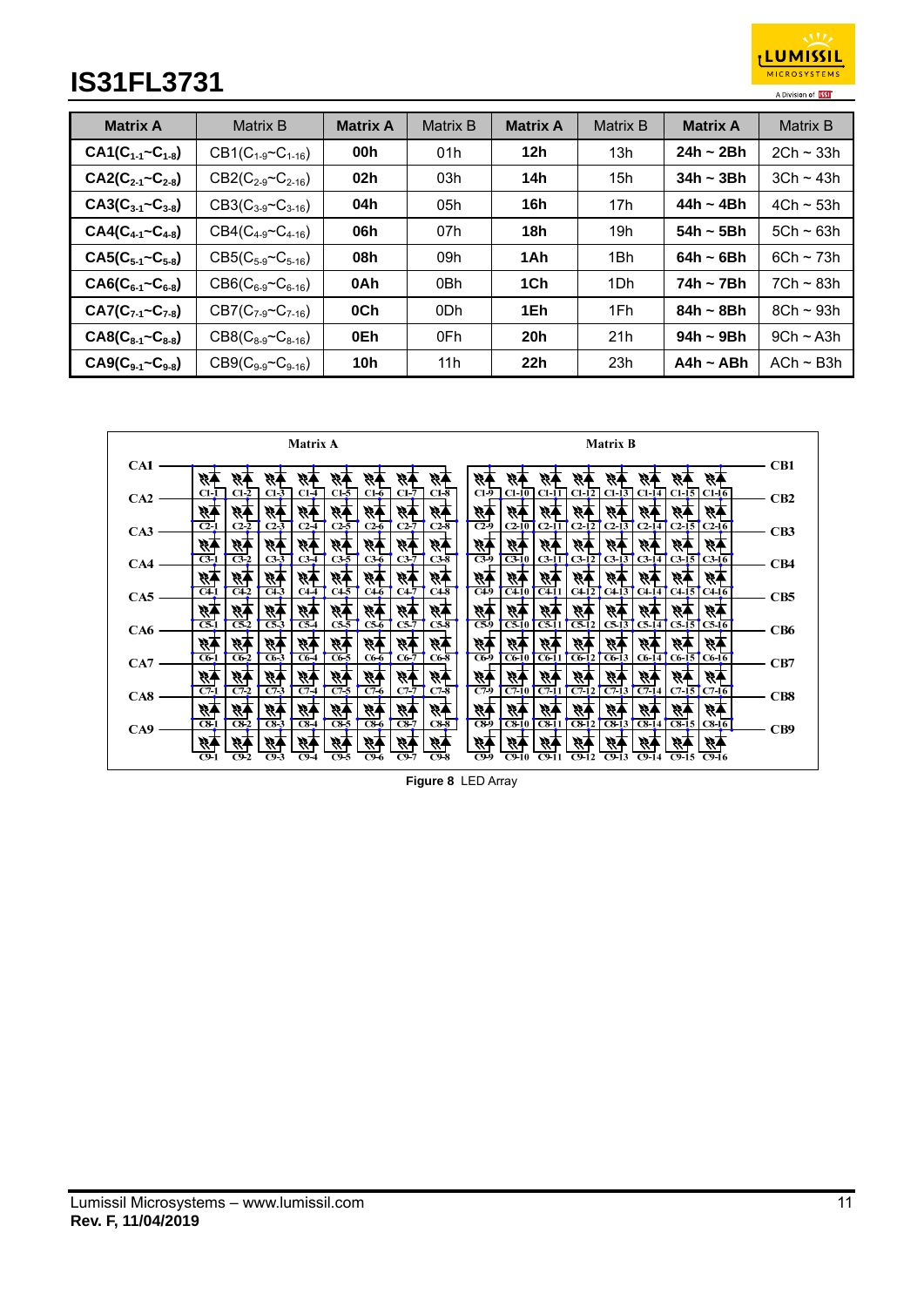

| <b>Matrix A</b>              | Matrix B                     | <b>Matrix A</b> | <b>Matrix B</b> | <b>Matrix A</b> | <b>Matrix B</b> | <b>Matrix A</b> | <b>Matrix B</b> |
|------------------------------|------------------------------|-----------------|-----------------|-----------------|-----------------|-----------------|-----------------|
| $CA1(C_{1-1} - C_{1-8})$     | $CB1(C_{1.9} \sim C_{1.16})$ | 00h             | 01h             | 12 <sub>h</sub> | 13h             | $24h \sim 2Bh$  | $2Ch \sim 33h$  |
| $CA2(C_{2-1}~C_{2-8})$       | $CB2(C_{2-9}C_{2-16})$       | 02h             | 03h             | 14h             | 15 <sub>h</sub> | $34h - 3Bh$     | $3Ch \sim 43h$  |
| $CA3(C_{3-1}~C_{3-8})$       | $CB3(C_{3-9} \sim C_{3-16})$ | 04h             | 05h             | 16h             | 17 <sub>h</sub> | 44h ~ 4Bh       | $4Ch \sim 53h$  |
| $CA4(C_{4-1}~C_{4-8})$       | $CB4(C_{4-9} \sim C_{4-16})$ | 06h             | 07h             | 18h             | 19h             | 54h $\sim$ 5Bh  | $5Ch \sim 63h$  |
| $CAS(C_{5-1}~C_{5-8})$       | $CB5(C_{5-9} \sim C_{5-16})$ | 08h             | 09h             | 1Ah             | 1Bh             | 64h ~ 6Bh       | $6Ch \sim 73h$  |
| $CAG(C_{6-1}~C_{6-8})$       | $CB6(C_{6-9} \sim C_{6-16})$ | 0Ah             | 0Bh             | 1Ch             | 1Dh             | 74h ~ 7Bh       | $7Ch \sim 83h$  |
| $CA7(C_{7-1}~C_{7-8})$       | $CB7(C_{7-9}C_{7-16})$       | 0Ch             | 0 <sub>Dh</sub> | 1Eh             | 1Fh             | $84h \sim 8Bh$  | $8Ch \sim 93h$  |
| $CAS(C_{8-1}~C_{8-8})$       | $CB8(C_{8-9} \sim C_{8-16})$ | 0Eh             | 0Fh             | 20 <sub>h</sub> | 21h             | $94h \sim 9Bh$  | $9Ch \sim A3h$  |
| $C A9(C_{9-1} \sim C_{9-8})$ | $CB9(C_{9.9} \sim C_{9.16})$ | 10h             | 11 h            | 22h             | 23h             | A4h $\sim$ ABh  | $ACh \sim B3h$  |

|     | <b>Matrix A</b>                                                                                                                                          | <b>Matrix B</b>                                                                                                                 |     |
|-----|----------------------------------------------------------------------------------------------------------------------------------------------------------|---------------------------------------------------------------------------------------------------------------------------------|-----|
| CA1 |                                                                                                                                                          |                                                                                                                                 | CB1 |
|     | $C1-2$<br>$C1-6$<br>$C1-7$<br>$C1-8$<br>$C1-3$<br>$C1-4$<br>$C1-5$<br>C1-1                                                                               | $Cl - I2$ $Cl - I3$ $Cl - I4$ $Cl - I5$ $Cl - I6$<br>C1-9   C1-10   C1-11                                                       |     |
| CA2 | $\tilde{\mathcal{H}}$<br>45 <sup>4</sup>                                                                                                                 | У,<br>Ą.                                                                                                                        | CB2 |
| CA3 | $\overline{C2}$<br>$C2-2$<br>$C2-6$<br>$C2\overline{5}$<br>C2.7<br>$C2-8$<br>$C2-3$<br>C <sub>2</sub>                                                    | $\overline{C29}$<br>$C2-13$<br>$C2-14$ $C2-15$ $C2-16$<br>$C2-10$<br>$C2-11$<br>$C2-12$                                         | CB3 |
|     | 柄<br>$\mathcal{H}$                                                                                                                                       | <b>13</b><br>У,                                                                                                                 |     |
| CA4 | $\overline{C3}$<br>$\overline{C32}$<br>$C3\overline{5}$<br>$C3\bar{6}$<br>$C3-3$<br>$C3-4$<br>$C3-7$<br>$C3-8$                                           | $\overline{C3}$ -9<br>$C3-11$<br>$C3-13$<br>$C3-14$ $C3-15$ $C3-16$<br>$C3-10$<br>$C3-12$                                       | CB4 |
| CA5 | 科<br>VI.<br>$\overline{C42}$<br>$\overline{C43}$<br>$C4-1$<br>$C4\overline{4}$<br>$C4\overline{5}$<br>$C4\overline{6}$<br>C47<br>$C4\overline{8}$        | 54<br>₹₹.<br>$\sqrt{C+11}$<br>$C4-9$<br>$\overline{C410}$<br>$C4-13$<br>$CA14$ $CA15$ $CA16$<br>C412                            | CB5 |
|     | 不经<br><b>13</b><br>豩<br><b>13</b><br>豩<br>₩,                                                                                                             | 秄<br>V)<br>84<br>Ý,                                                                                                             |     |
| CA6 | $\overline{\mathbf{c}}$ 51<br>$\overline{\text{c}}\overline{\text{s}}$<br>ट्ड3<br>$\overline{c54}$<br>$C5-5$<br>$CS_6$<br>C5.7<br>$C5-8$                 | $\sqrt{311}$<br>$\overline{C59}$<br>$\overline{CS12}$<br>$C5-13$<br>$\overline{C510}$<br>$CS-141CS-151CS-161$                   | CB6 |
|     | 矫子<br>- 19<br>豩<br>स्त्र<br>स्र<br>$C6-1$<br>$C6-2$<br>$C6-4$<br>C65<br>$C6-6$<br>$C6-3$<br>$C6-7$<br>$C6-8$                                             | 陃<br>Ñ,<br>Ŵ,<br>¥,<br>V)<br>$C6-14$ $C6-15$ $C6-16$<br>$C6-9$<br>$C6-10$<br>$CG-11$<br>$C6-12$<br>$C6-13$                      |     |
| CA7 | 49<br>やす<br>W.                                                                                                                                           | 财<br>P,<br>v,                                                                                                                   | CB7 |
| CAS | 84<br>99<br>$\overline{C76}$<br>$\overline{C72}$<br>$\overline{C74}$<br>$\overline{C7}$ 5<br>$\overline{C71}$<br>$C7\bar{T}$<br>$\overline{C}$ 73<br>C/8 | $\overline{C79}$<br>$\overline{C711}$<br>$\overline{C712}$<br>$\overline{C710}$<br>$\overline{C713}$<br>$C7-14$ $C7-15$ $C7-16$ | CB8 |
|     | 柄<br>柄<br>柄<br>炒<br>经<br>科<br>ŘТ<br>W                                                                                                                    | 经<br>УĀ<br>H,<br>Ý,<br>H,<br>4<br>13<br>Ŗ.                                                                                      |     |
| CA9 | $\overline{CS}$<br>$\overline{C8}$ 7<br>$\overline{c}$ 8-1<br>$\overline{C82}$<br>$\overline{}$ CS-3<br>$\overline{C84}$<br>$\overline{CS}6$<br>$C8-8$   | $\overline{CS}$ -9<br>$\sqrt{6311}$<br>$\overline{C8-13}$<br>$C8-10$<br>$C8-12$<br>$C8-14$ $C8-15$ $C8-16$                      | CB9 |
|     | स्र<br>吟<br>$C9-5$<br>C96<br>C9<br>$C9-8$<br>C9.2<br>C9.3<br>C9-4                                                                                        | Þ<br>C9.9<br>$C9-10$<br>$C9-11$<br>C912<br>$C9-13$<br>$C9-14$<br>C9-15<br>- C9-16                                               |     |

**Figure 8** LED Array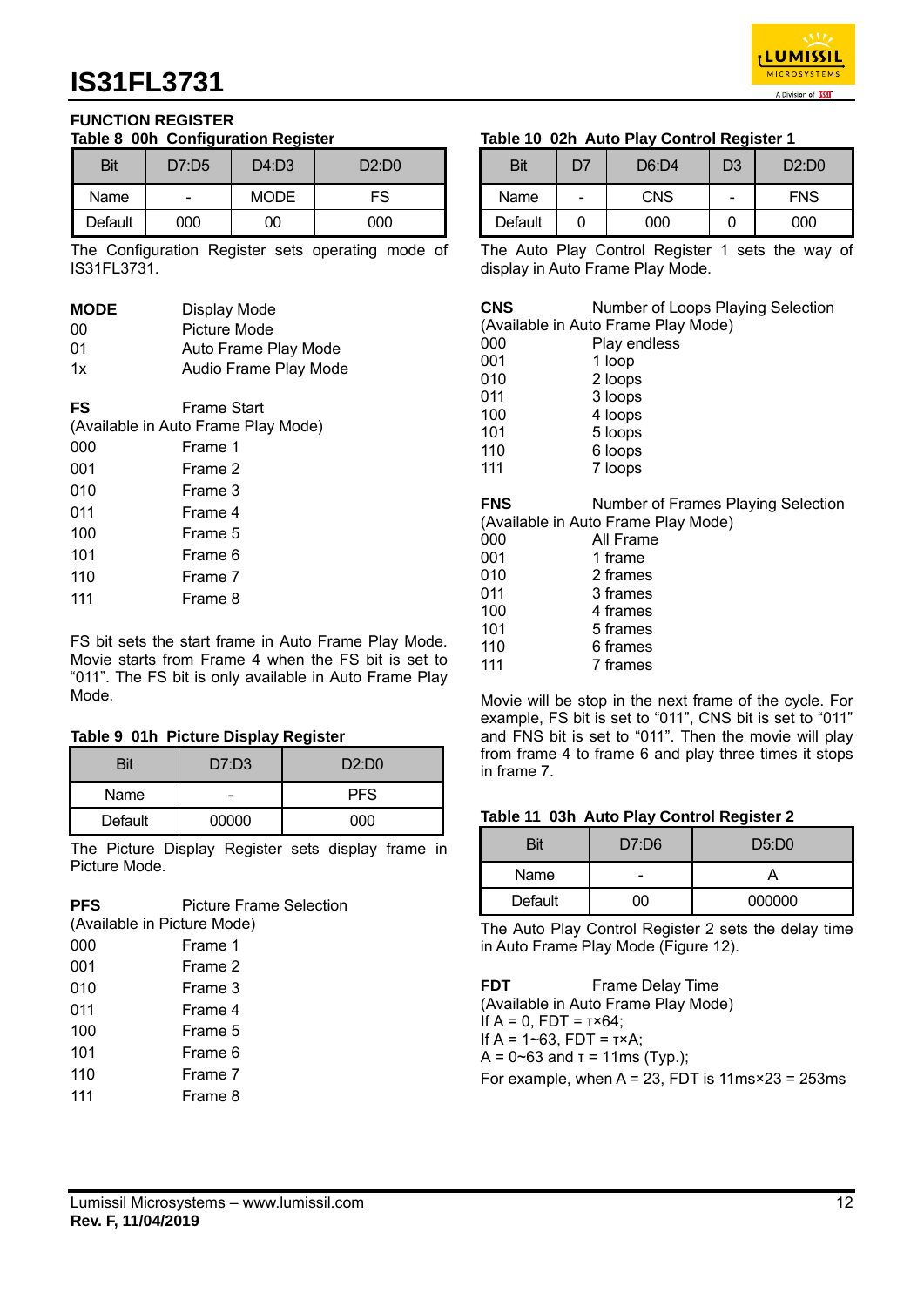

#### **FUNCTION REGISTER Table 8 00h Configuration Register**

| Bit     | D7:D5 | D4: D3      | D2:DD |
|---------|-------|-------------|-------|
| Name    |       | <b>MODE</b> | FS    |
| Default | 000   | 00          | 000   |

The Configuration Register sets operating mode of IS31FL3731.

| <b>MODE</b> | Display Mode                                       |
|-------------|----------------------------------------------------|
| 00          | Picture Mode                                       |
| 01          | Auto Frame Play Mode                               |
| 1x          | Audio Frame Play Mode                              |
| FS          | Frame Start<br>(Available in Auto Frame Play Mode) |
| 000         | Frame 1                                            |
| 001         | Frame 2                                            |
| 010         | Frame 3                                            |
| 011         | Frame 4                                            |
| 100         | Frame 5                                            |
| 101         | Frame 6                                            |
| 110         | Frame 7                                            |
| 111         | Frame 8                                            |
|             |                                                    |

FS bit sets the start frame in Auto Frame Play Mode. Movie starts from Frame 4 when the FS bit is set to "011". The FS bit is only available in Auto Frame Play Mode.

#### **Table 9 01h Picture Display Register**

| Bit     | D7: D3 | D2:DD0     |
|---------|--------|------------|
| Name    |        | <b>PFS</b> |
| Default | 00000  | റററ        |

The Picture Display Register sets display frame in Picture Mode.

| <b>PFS</b><br>(Available in Picture Mode) | <b>Picture Frame Selection</b> |
|-------------------------------------------|--------------------------------|
| 000                                       | Frame 1                        |
| 001                                       | Frame 2                        |
| 010                                       | Frame 3                        |
| 011                                       | Frame 4                        |
| 100                                       | Frame 5                        |
| 101                                       | Frame 6                        |
| 110                                       | Frame 7                        |
| 111                                       | Frame 8                        |

## **Table 10 02h Auto Play Control Register 1**

| Bit     | D7 | D6:DA      | D <sub>3</sub> | D2:DD0     |
|---------|----|------------|----------------|------------|
| Name    |    | <b>CNS</b> |                | <b>FNS</b> |
| Default |    | 000        |                | റററ        |

The Auto Play Control Register 1 sets the way of display in Auto Frame Play Mode.

| <b>CNS</b> | Number of Loops Playing Selection   |
|------------|-------------------------------------|
|            | (Available in Auto Frame Play Mode) |

|     | (            |
|-----|--------------|
| 000 | Play endless |
| 001 | 1 loop       |
| 010 | 2 loops      |
| 011 | 3 loops      |
| 100 | 4 loops      |
| 101 | 5 loops      |
| 110 | 6 loops      |
| 111 | 7 loops      |
|     |              |

**FNS** Number of Frames Playing Selection (Available in Auto Frame Play Mode)

| 000 | All Frame |
|-----|-----------|
| 001 | 1 frame   |
| 010 | 2 frames  |
| 011 | 3 frames  |
| 100 | 4 frames  |
| 101 | 5 frames  |
| 110 | 6 frames  |
| 111 | 7 frames  |
|     |           |

Movie will be stop in the next frame of the cycle. For example, FS bit is set to "011", CNS bit is set to "011" and FNS bit is set to "011". Then the movie will play from frame 4 to frame 6 and play three times it stops in frame 7.

#### **Table 11 03h Auto Play Control Register 2**

| Bit         | D7:DB | D5:DD  |
|-------------|-------|--------|
| <b>Name</b> |       |        |
| Default     |       | 000000 |

The Auto Play Control Register 2 sets the delay time in Auto Frame Play Mode (Figure 12).

**FDT** Frame Delay Time (Available in Auto Frame Play Mode) If A = 0, FDT = τ×64; If  $A = 1 - 63$ , FDT = τ×Α; A = 0~63 and τ = 11ms (Typ.); For example, when  $A = 23$ , FDT is  $11ms \times 23 = 253ms$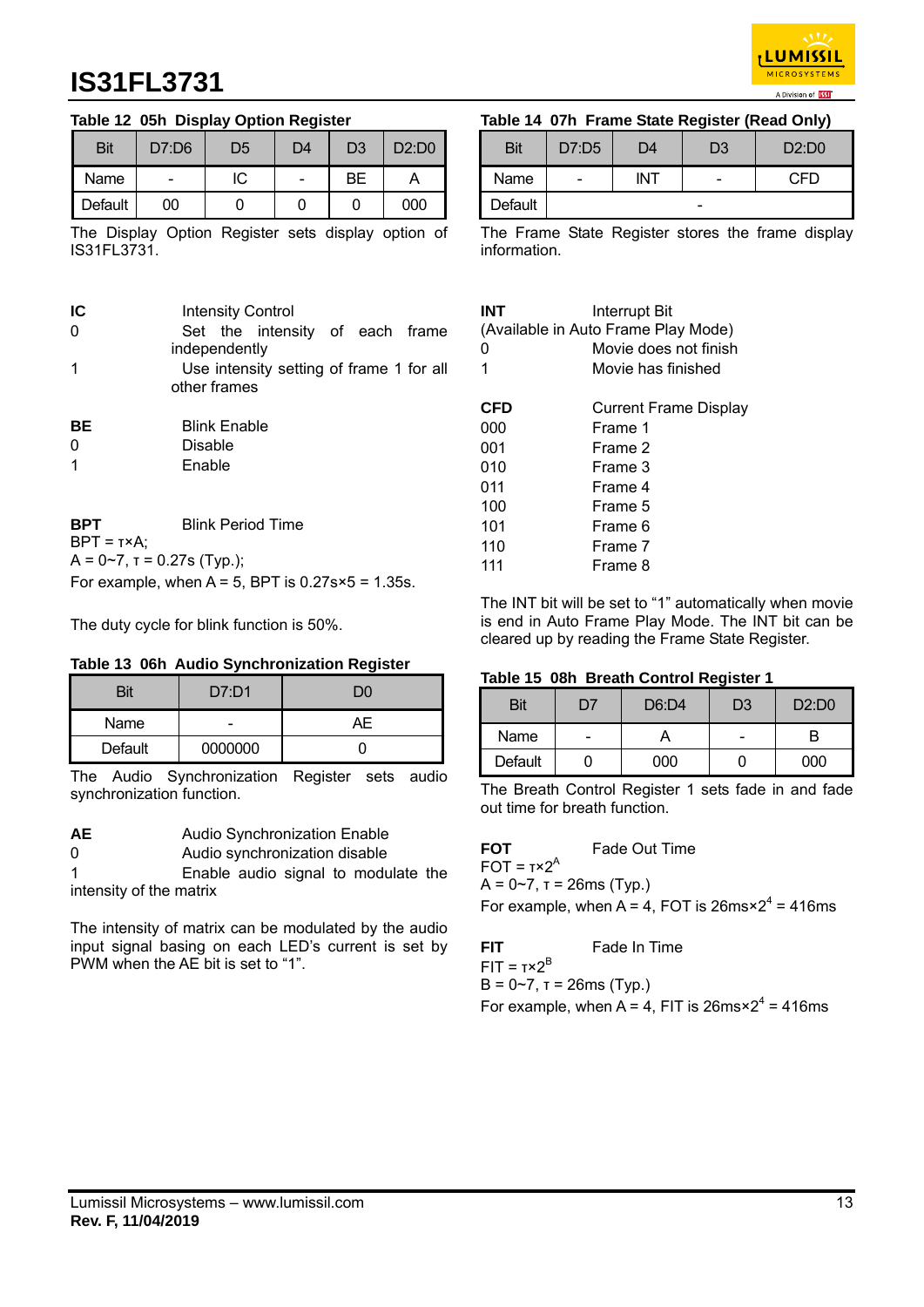

### **Table 12 05h Display Option Register**

| <b>Bit</b> | D7:D6 | D <sub>5</sub> | D4 | D3 | D2:DD0 |
|------------|-------|----------------|----|----|--------|
| Name       |       | IC             |    | BЕ |        |
| Default    | 00    |                |    |    | 000    |

The Display Option Register sets display option of IS31FL3731.

| IC<br>0<br>1                | <b>Intensity Control</b><br>Set the intensity of each frame<br>independently<br>Use intensity setting of frame 1 for all<br>other frames |
|-----------------------------|------------------------------------------------------------------------------------------------------------------------------------------|
| BЕ<br>0<br>1                | <b>Blink Enable</b><br><b>Disable</b><br>Enable                                                                                          |
| BPT<br>$BPT = T \times A$ ; | <b>Blink Period Time</b>                                                                                                                 |

 $A = 0-7$ ,  $T = 0.27$ s (Typ.);

For example, when  $A = 5$ , BPT is  $0.27s \times 5 = 1.35s$ .

The duty cycle for blink function is 50%.

## **Table 13 06h Audio Synchronization Register**

| Bit     | D7: D1  | חר |
|---------|---------|----|
| Name    |         | AF |
| Default | 0000000 |    |

The Audio Synchronization Register sets audio synchronization function.

**AE** Audio Synchronization Enable

0 Audio synchronization disable

1 Enable audio signal to modulate the intensity of the matrix

The intensity of matrix can be modulated by the audio input signal basing on each LED's current is set by PWM when the AE bit is set to "1".

## **Table 14 07h Frame State Register (Read Only)**

| <b>Bit</b> | D7:D5 | D4  | D3 | D2:DD0 |
|------------|-------|-----|----|--------|
| Name       |       | INT | -  | C.FD   |
| Default    |       |     |    |        |

The Frame State Register stores the frame display information.

| INT<br>O<br>1 | <b>Interrupt Bit</b><br>(Available in Auto Frame Play Mode)<br>Movie does not finish<br>Movie has finished |
|---------------|------------------------------------------------------------------------------------------------------------|
| CFD           | <b>Current Frame Display</b>                                                                               |
| 000           | Frame 1                                                                                                    |
| 001           | Frame 2                                                                                                    |
| 010           | Frame 3                                                                                                    |
| 011           | Frame 4                                                                                                    |
| 100           | Frame 5                                                                                                    |
| 101           | Frame 6                                                                                                    |
| 110           | Frame 7                                                                                                    |
| 111           | Frame 8                                                                                                    |

The INT bit will be set to "1" automatically when movie is end in Auto Frame Play Mode. The INT bit can be cleared up by reading the Frame State Register.

## **Table 15 08h Breath Control Register 1**

| Bit     | $\mathcal{L}$ | D6:DA | D <sub>3</sub> | D2:DD0 |
|---------|---------------|-------|----------------|--------|
| Name    | -             |       | -              |        |
| Default |               | იიი   |                | იიი    |

The Breath Control Register 1 sets fade in and fade out time for breath function.

**FOT** Fade Out Time  $FOT =  $\tau \times 2^A$$  $A = 0~7$ ,  $T = 26$ ms (Typ.)

For example, when  $A = 4$ , FOT is  $26ms \times 2^4 = 416ms$ 

**FIT Fade In Time** 

 $FIT = τ×2<sup>B</sup>$ 

 $B = 0-7$ , τ = 26ms (Typ.)

For example, when  $A = 4$ , FIT is 26ms $\times 2^4 = 416$ ms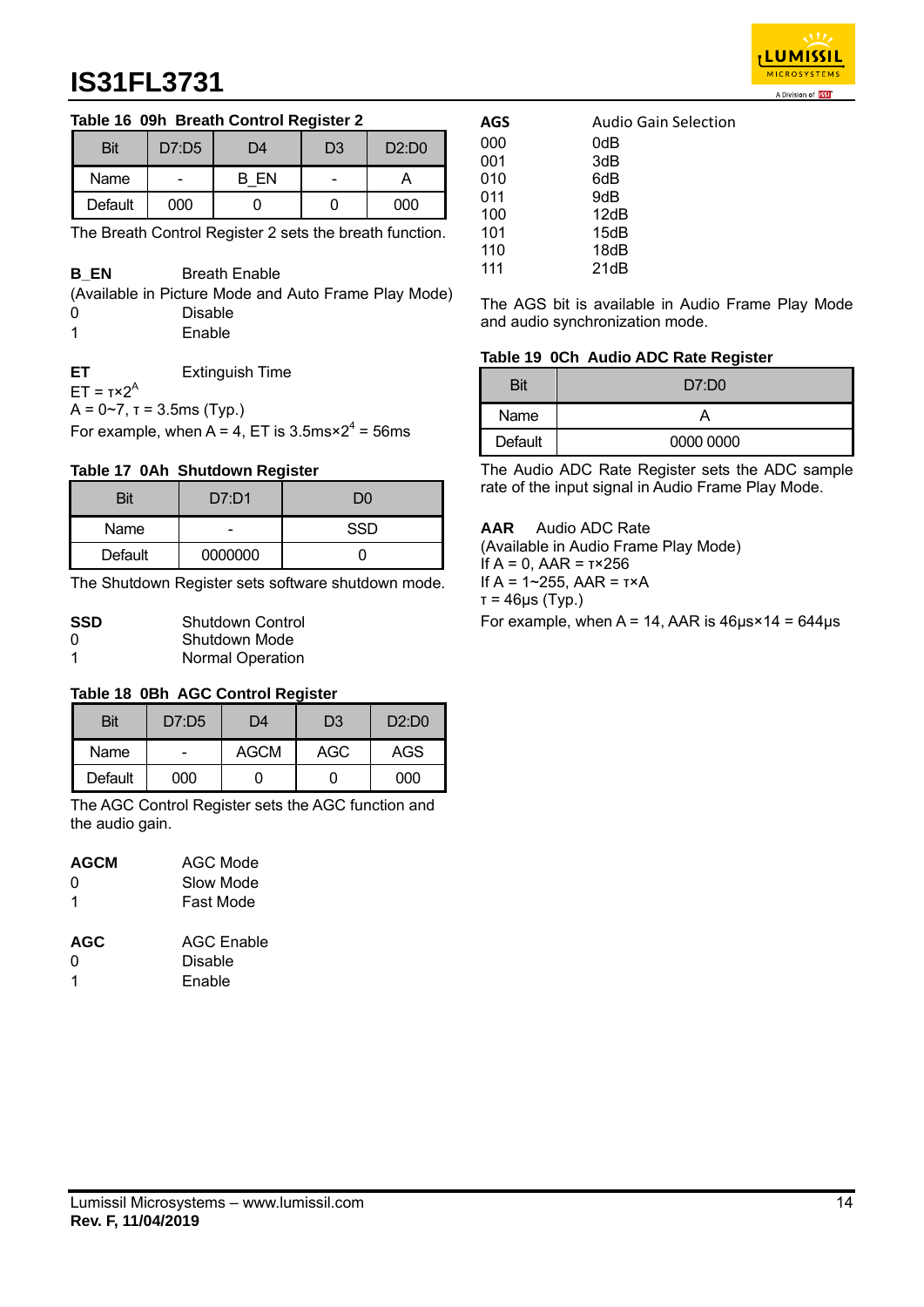

## **Table 16 09h Breath Control Register 2**

| Bit     | D7:D5 | D4   | D <sub>3</sub> | D2:DD0 |
|---------|-------|------|----------------|--------|
| Name    | -     | B EN | -              |        |
| Default | 000   |      |                | 000    |

The Breath Control Register 2 sets the breath function.

| <b>B</b> EN | <b>Breath Enable</b>                                 |
|-------------|------------------------------------------------------|
|             | (Available in Picture Mode and Auto Frame Play Mode) |
| 0           | Disable                                              |
|             | Enable                                               |
|             |                                                      |
|             | $\Gamma$ winandah $\Gamma$ inan                      |

**ET** Extinguish Time  $ET = τ×2<sup>A</sup>$  $A = 0 - 7$ ,  $T = 3.5$ ms (Typ.) For example, when  $A = 4$ , ET is 3.5ms $\times 2^4 = 56$ ms

### **Table 17 0Ah Shutdown Register**

| Bit     | D7: D1  | חר         |
|---------|---------|------------|
| Name    | -       | <b>SSD</b> |
| Default | 0000000 |            |

The Shutdown Register sets software shutdown mode.

| <b>SSD</b> | Shutdown Control        |
|------------|-------------------------|
| 0          | Shutdown Mode           |
| -1         | <b>Normal Operation</b> |

#### **Table 18 0Bh AGC Control Register**

| Bit     | D7:D5 | )4   | D <sub>3</sub> | D2:DD0 |
|---------|-------|------|----------------|--------|
| Name    |       | AGCM | AGC            | AGS    |
| Default | იიი   |      |                | 000    |

The AGC Control Register sets the AGC function and the audio gain.

| <b>AGCM</b> | AGC Mode          |
|-------------|-------------------|
| 0           | Slow Mode         |
| 1           | Fast Mode         |
| <b>AGC</b>  | <b>AGC Enable</b> |
| 0           | Disable           |
| 1           | Enable            |

| AGS | <b>Audio Gain Selection</b> |
|-----|-----------------------------|
| 000 | 0dB                         |
| 001 | 3dB                         |
| 010 | 6dB                         |
| 011 | 9dB                         |
| 100 | 12dB                        |
| 101 | 15dB                        |
| 110 | 18dB                        |
| 111 | 21dB                        |

The AGS bit is available in Audio Frame Play Mode and audio synchronization mode.

#### **Table 19 0Ch Audio ADC Rate Register**

| Bit     | D7:DO     |
|---------|-----------|
| Name    |           |
| Default | 0000 0000 |

The Audio ADC Rate Register sets the ADC sample rate of the input signal in Audio Frame Play Mode.

#### **AAR** Audio ADC Rate

(Available in Audio Frame Play Mode) If A = 0, AAR = τ×256 If A = 1~255, AAR = τ×A τ = 46μs (Typ.) For example, when  $A = 14$ , AAR is  $46\mu s \times 14 = 644\mu s$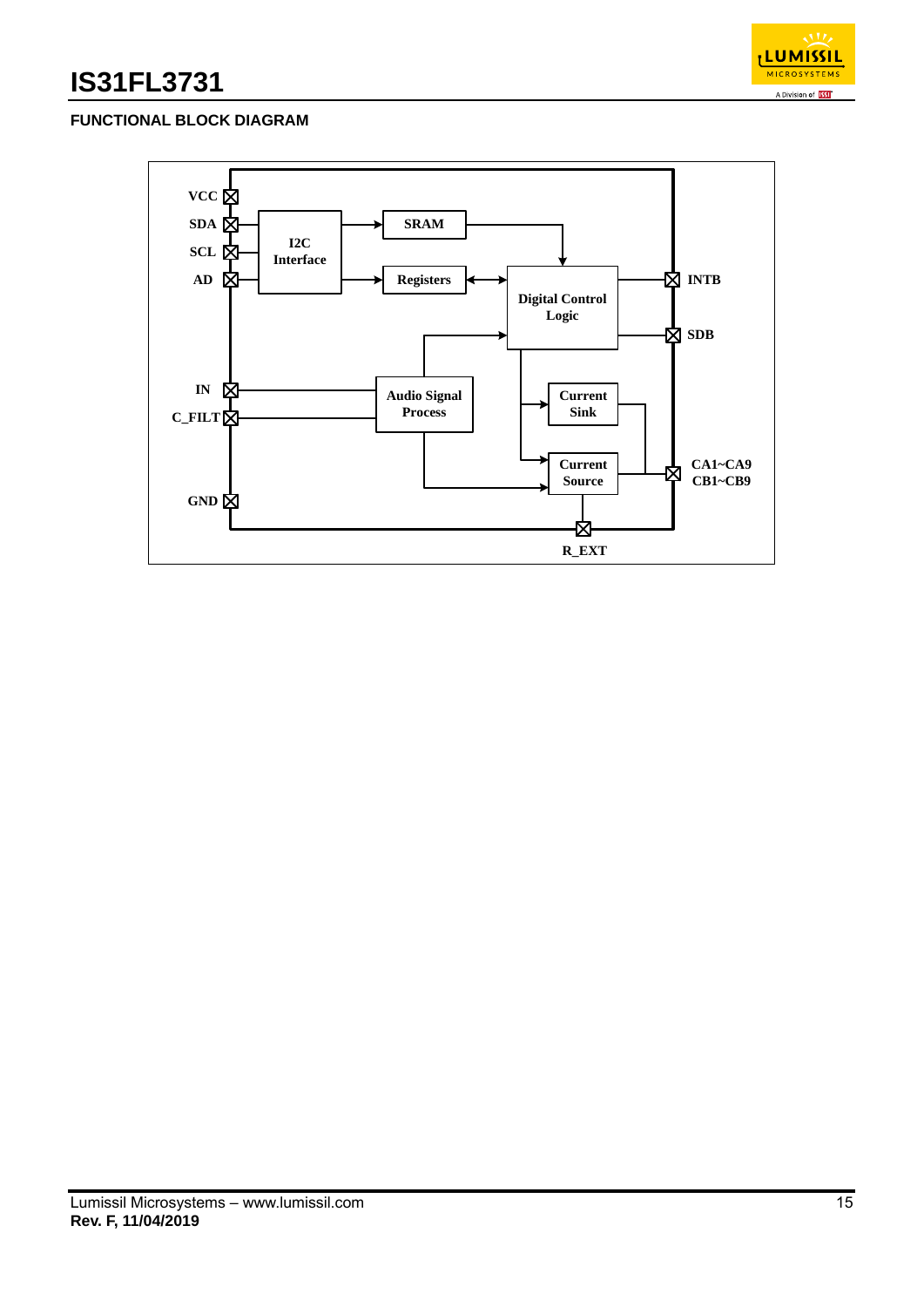

## **FUNCTIONAL BLOCK DIAGRAM**

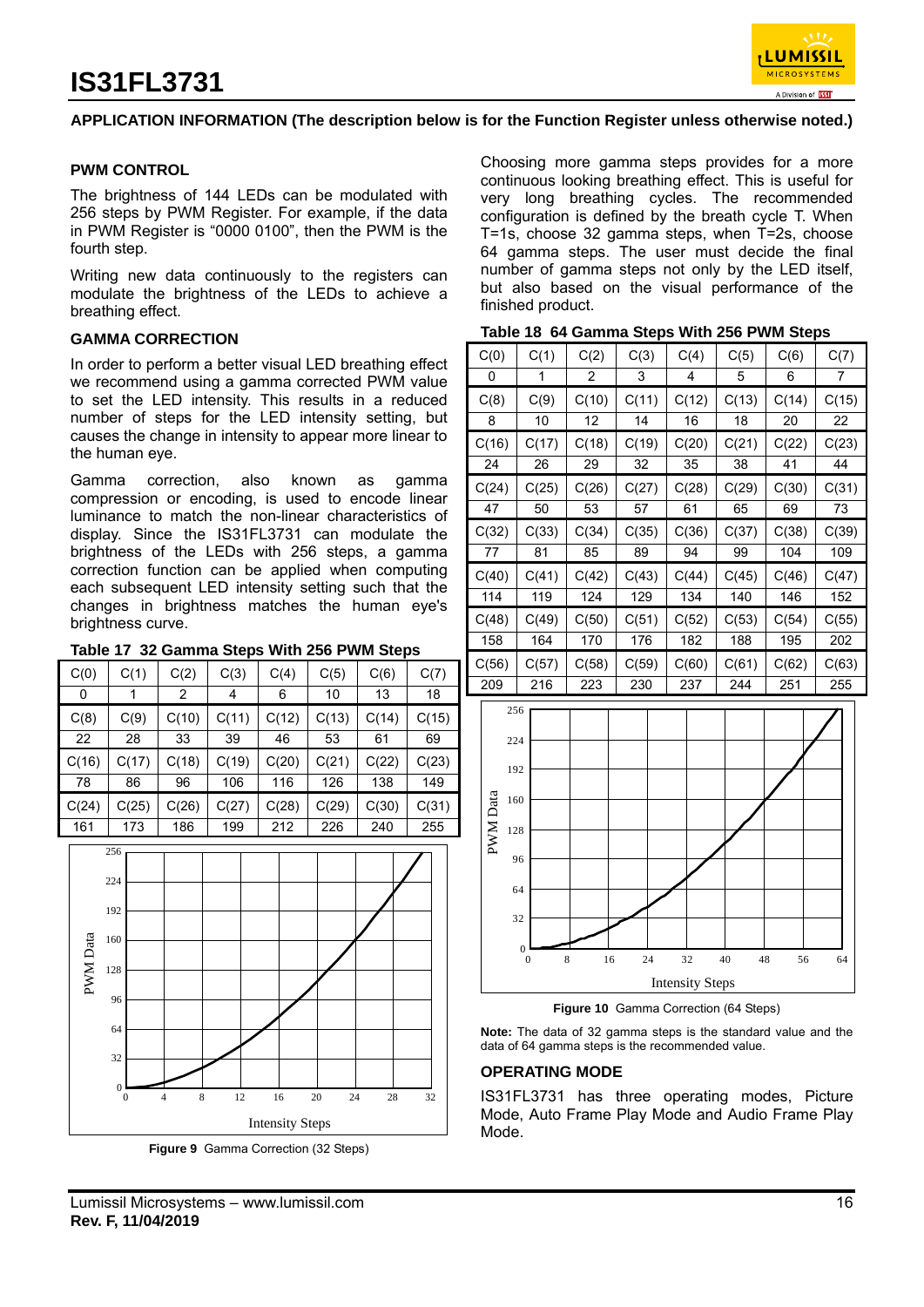

### **APPLICATION INFORMATION (The description below is for the Function Register unless otherwise noted.)**

#### **PWM CONTROL**

The brightness of 144 LEDs can be modulated with 256 steps by PWM Register. For example, if the data in PWM Register is "0000 0100", then the PWM is the fourth step.

Writing new data continuously to the registers can modulate the brightness of the LEDs to achieve a breathing effect.

#### **GAMMA CORRECTION**

In order to perform a better visual LED breathing effect we recommend using a gamma corrected PWM value to set the LED intensity. This results in a reduced number of steps for the LED intensity setting, but causes the change in intensity to appear more linear to the human eye.

Gamma correction, also known as gamma compression or encoding, is used to encode linear luminance to match the non-linear characteristics of display. Since the IS31FL3731 can modulate the brightness of the LEDs with 256 steps, a gamma correction function can be applied when computing each subsequent LED intensity setting such that the changes in brightness matches the human eye's brightness curve.

#### **Table 17 32 Gamma Steps With 256 PWM Steps**

| C(0)  | C(1)  | C(2)  | C(3)  | C(4)  | C(5)  | C(6)  | C(7)  |
|-------|-------|-------|-------|-------|-------|-------|-------|
| 0     |       | 2     | 4     | 6     | 10    | 13    | 18    |
| C(8)  | C(9)  | C(10) | C(11) | C(12) | C(13) | C(14) | C(15) |
| 22    | 28    | 33    | 39    | 46    | 53    | 61    | 69    |
| C(16) | C(17) | C(18) | C(19) | C(20) | C(21) | C(22) | C(23) |
| 78    | 86    | 96    | 106   | 116   | 126   | 138   | 149   |
| C(24) | C(25) | C(26) | C(27) | C(28) | C(29) | C(30) | C(31) |
| 161   | 173   | 186   | 199   | 212   | 226   | 240   | 255   |



**Figure 9** Gamma Correction (32 Steps)

Choosing more gamma steps provides for a more continuous looking breathing effect. This is useful for very long breathing cycles. The recommended configuration is defined by the breath cycle T. When T=1s, choose 32 gamma steps, when T=2s, choose 64 gamma steps. The user must decide the final number of gamma steps not only by the LED itself, but also based on the visual performance of the finished product.

| Table 18 64 Gamma Steps With 256 PWM Steps |  |
|--------------------------------------------|--|
|--------------------------------------------|--|

| C(0)  | C(1)  | C(2)  | C(3)  | C(4)  | C(5)  | C(6)  | C(7)  |
|-------|-------|-------|-------|-------|-------|-------|-------|
| 0     | 1     | 2     | 3     | 4     | 5     | 6     | 7     |
| C(8)  | C(9)  | C(10) | C(11) | C(12) | C(13) | C(14) | C(15) |
| 8     | 10    | 12    | 14    | 16    | 18    | 20    | 22    |
| C(16) | C(17) | C(18) | C(19) | C(20) | C(21) | C(22) | C(23) |
| 24    | 26    | 29    | 32    | 35    | 38    | 41    | 44    |
| C(24) | C(25) | C(26) | C(27) | C(28) | C(29) | C(30) | C(31) |
| 47    | 50    | 53    | 57    | 61    | 65    | 69    | 73    |
| C(32) | C(33) | C(34) | C(35) | C(36) | C(37) | C(38) | C(39) |
| 77    | 81    | 85    | 89    | 94    | 99    | 104   | 109   |
| C(40) | C(41) | C(42) | C(43) | C(44) | C(45) | C(46) | C(47) |
| 114   | 119   | 124   | 129   | 134   | 140   | 146   | 152   |
| C(48) | C(49) | C(50) | C(51) | C(52) | C(53) | C(54) | C(55) |
| 158   | 164   | 170   | 176   | 182   | 188   | 195   | 202   |
| C(56) | C(57) | C(58) | C(59) | C(60) | C(61) | C(62) | C(63) |
| 209   | 216   | 223   | 230   | 237   | 244   | 251   | 255   |



**Figure 10** Gamma Correction (64 Steps)

**Note:** The data of 32 gamma steps is the standard value and the data of 64 gamma steps is the recommended value.

#### **OPERATING MODE**

IS31FL3731 has three operating modes, Picture Mode, Auto Frame Play Mode and Audio Frame Play Mode.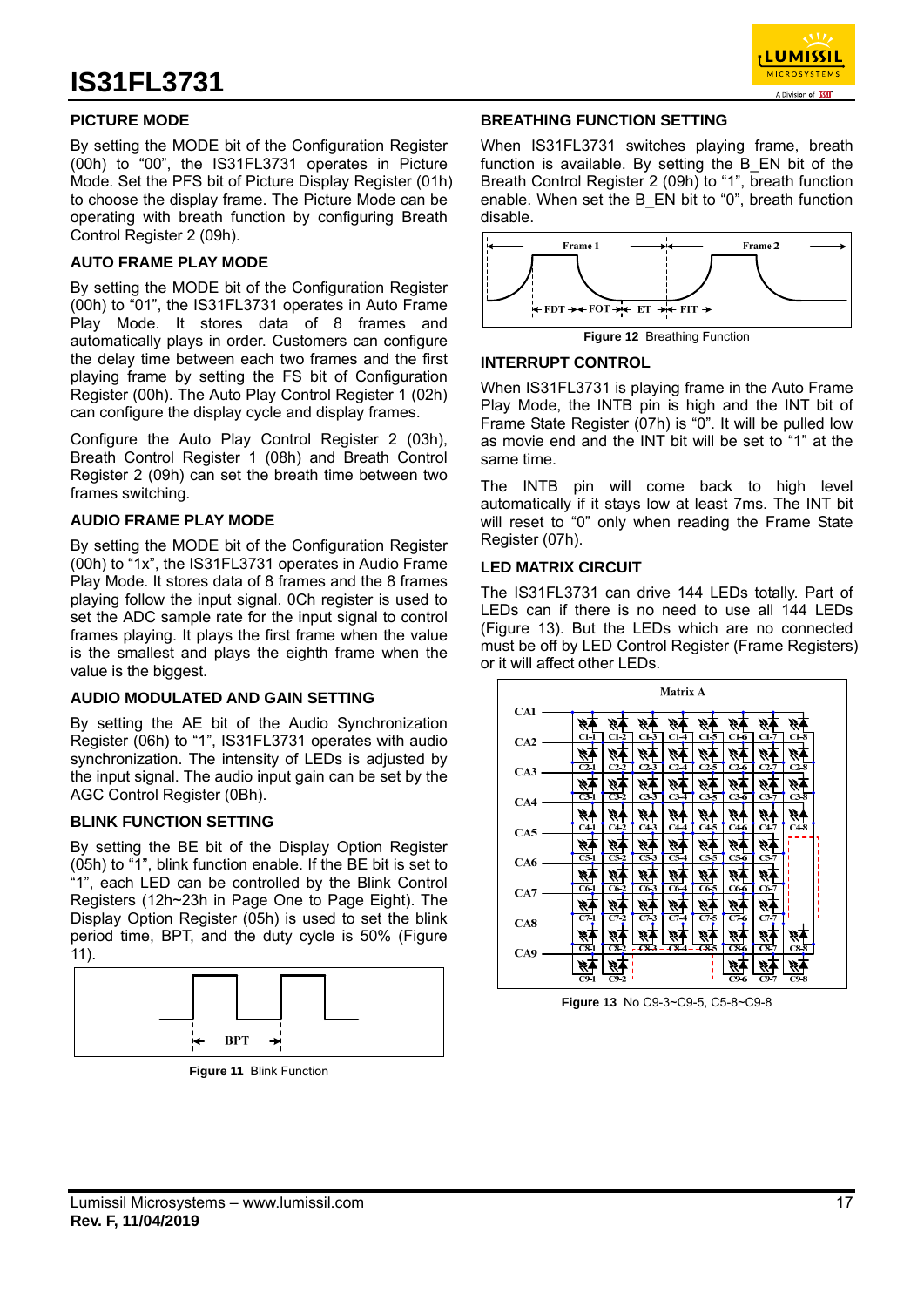

### **PICTURE MODE**

By setting the MODE bit of the Configuration Register (00h) to "00", the IS31FL3731 operates in Picture Mode. Set the PFS bit of Picture Display Register (01h) to choose the display frame. The Picture Mode can be operating with breath function by configuring Breath Control Register 2 (09h).

#### **AUTO FRAME PLAY MODE**

By setting the MODE bit of the Configuration Register (00h) to "01", the IS31FL3731 operates in Auto Frame Play Mode. It stores data of 8 frames and automatically plays in order. Customers can configure the delay time between each two frames and the first playing frame by setting the FS bit of Configuration Register (00h). The Auto Play Control Register 1 (02h) can configure the display cycle and display frames.

Configure the Auto Play Control Register 2 (03h), Breath Control Register 1 (08h) and Breath Control Register 2 (09h) can set the breath time between two frames switching.

#### **AUDIO FRAME PLAY MODE**

By setting the MODE bit of the Configuration Register (00h) to "1x", the IS31FL3731 operates in Audio Frame Play Mode. It stores data of 8 frames and the 8 frames playing follow the input signal. 0Ch register is used to set the ADC sample rate for the input signal to control frames playing. It plays the first frame when the value is the smallest and plays the eighth frame when the value is the biggest.

#### **AUDIO MODULATED AND GAIN SETTING**

By setting the AE bit of the Audio Synchronization Register (06h) to "1", IS31FL3731 operates with audio synchronization. The intensity of LEDs is adjusted by the input signal. The audio input gain can be set by the AGC Control Register (0Bh).

#### **BLINK FUNCTION SETTING**

By setting the BE bit of the Display Option Register (05h) to "1", blink function enable. If the BE bit is set to "1", each LED can be controlled by the Blink Control Registers (12h~23h in Page One to Page Eight). The Display Option Register (05h) is used to set the blink period time, BPT, and the duty cycle is 50% (Figure 11).



**Figure 11** Blink Function

#### **BREATHING FUNCTION SETTING**

When IS31FL3731 switches playing frame, breath function is available. By setting the B\_EN bit of the Breath Control Register 2 (09h) to "1", breath function enable. When set the B\_EN bit to "0", breath function disable.



**Figure 12** Breathing Function

#### **INTERRUPT CONTROL**

When IS31FL3731 is playing frame in the Auto Frame Play Mode, the INTB pin is high and the INT bit of Frame State Register (07h) is "0". It will be pulled low as movie end and the INT bit will be set to "1" at the same time.

The INTB pin will come back to high level automatically if it stays low at least 7ms. The INT bit will reset to "0" only when reading the Frame State Register (07h).

#### **LED MATRIX CIRCUIT**

The IS31FL3731 can drive 144 LEDs totally. Part of LEDs can if there is no need to use all 144 LEDs (Figure 13). But the LEDs which are no connected must be off by LED Control Register (Frame Registers) or it will affect other LEDs.

|     |                   |                  |                    | <b>Matrix A</b>  |                  |                          |        |                   |
|-----|-------------------|------------------|--------------------|------------------|------------------|--------------------------|--------|-------------------|
| CA1 | G)                | W.               | W                  |                  | H,               | G,                       | W,     | H.                |
| CA2 | $C1-1$            | $C1-2$           | $C1-3$             | $C1-$            | $C1-5$           | $C1-6$                   | $C1-7$ | $C1-8$            |
|     | W,                | W,               | X.                 | Ø.               | W.               | H.                       | Š,     | Ŵ,                |
| CA3 | $\overline{C2-1}$ | $C2-2$           | $C2\overline{3}$   | $C2-4$           | $C2-5$           | $C2-6$                   | $C2-7$ | $C2-8$            |
|     | Ķ.                | Ŵ,               | H.                 | H.               | H.               | H.                       | W.     | Ķ.                |
| CA4 | $\overline{C3-1}$ | $\overline{C32}$ | $C3-3$             | C3-4             | $C3-5$           | C3-6                     | $C3-7$ | $C3-\overline{8}$ |
|     | H.                | Ŵ                | 殄                  | P,               | W.               |                          | W.     | ম                 |
| CA5 | $C+1$             | $C4-2$           | $C4-3$             | $C4\overline{4}$ | $C4-5$           | $C4-6$                   | $C4-7$ | $C4-8$            |
|     | H.                | H.               | H.                 | H.               | W.               | W.                       | Ø,     |                   |
| CA6 | $\overline{C5-1}$ | $\overline{C52}$ | $\overline{c53}$   | $\overline{c54}$ | $cs\overline{5}$ | $cs\overline{6}$         | $C5-7$ |                   |
|     | Ý,                | W.               | 99.                | H.               | W.               | H.                       | Ø.     |                   |
| CA7 | $C6-1$            | $C6-2$           | $C6-3$             | $C6-4$           | $C6-5$           | $C6-6$                   | $C6-7$ |                   |
|     | 4                 |                  |                    |                  | H,               |                          |        |                   |
| CAS | $C7-1$            | $C7-2$           | $C7-3$             | $C7-4$           | $C/ -5$          | $C7-6$                   | $C7-7$ |                   |
|     |                   | W.               | 9)                 |                  | 4                | Ý.                       | Þ,     | Ý,                |
| CA9 | $\overline{C8-1}$ | $C8-2$           | $-683 - 684 - 686$ |                  |                  | $\overline{\text{C8-6}}$ | $C8-7$ | $cs\bar{s}$       |
|     | Ø.                | Ø.               |                    |                  |                  |                          | Ŵ,     | Ħ.                |

**Figure 13** No C9-3~C9-5, C5-8~C9-8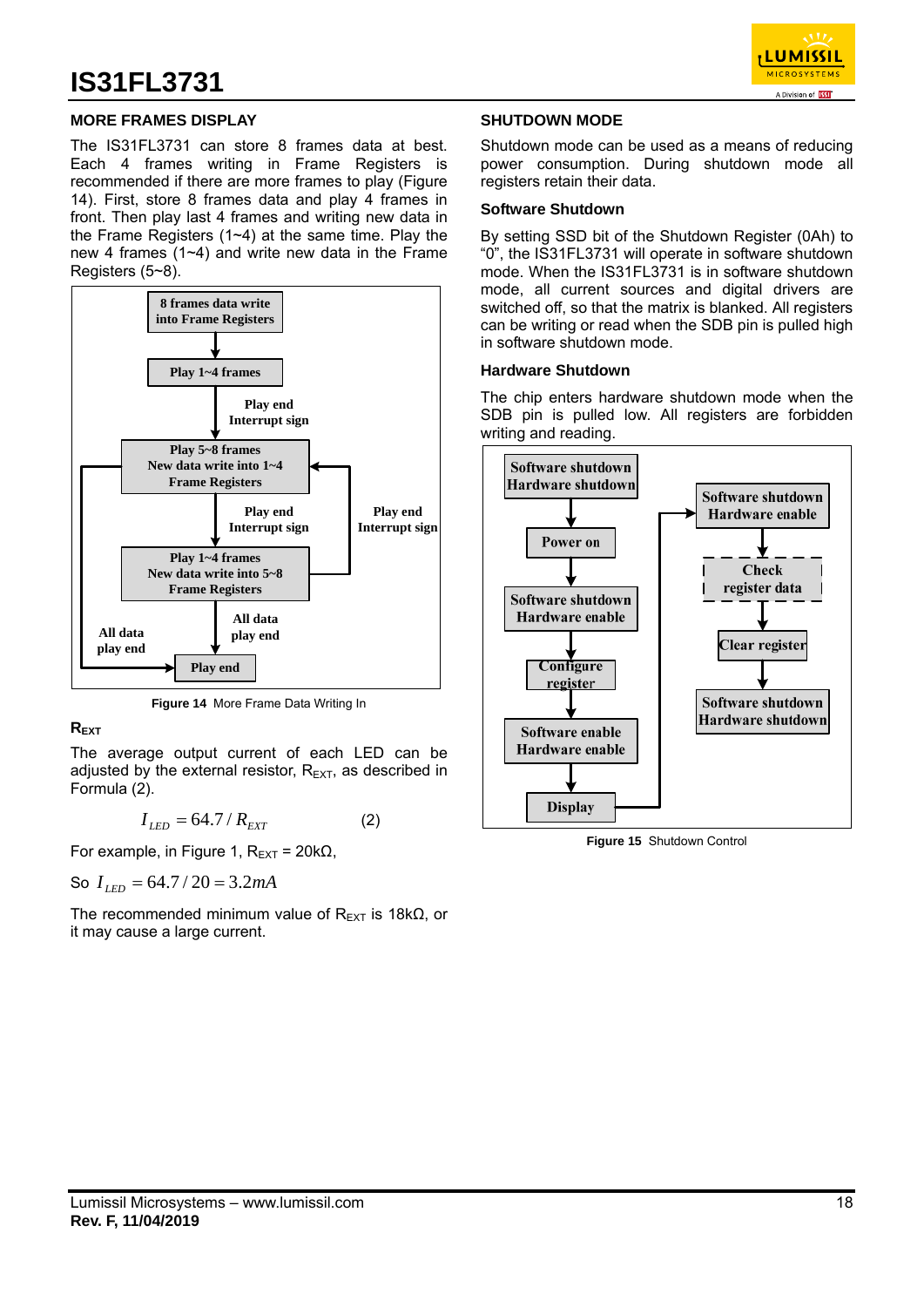

### **MORE FRAMES DISPLAY**

The IS31FL3731 can store 8 frames data at best. Each 4 frames writing in Frame Registers is recommended if there are more frames to play (Figure 14). First, store 8 frames data and play 4 frames in front. Then play last 4 frames and writing new data in the Frame Registers (1~4) at the same time. Play the new 4 frames (1~4) and write new data in the Frame Registers (5~8).



**Figure 14** More Frame Data Writing In

### **REXT**

The average output current of each LED can be adjusted by the external resistor,  $R_{\text{EXT}}$ , as described in Formula (2).

$$
I_{LED} = 64.7 / R_{EXT} \tag{2}
$$

For example, in Figure 1,  $R_{\text{EXT}} = 20 \text{k}\Omega$ ,

So 
$$
I_{LED} = 64.7 / 20 = 3.2 mA
$$

The recommended minimum value of  $R_{\text{EXT}}$  is 18k $\Omega$ , or it may cause a large current.

#### **SHUTDOWN MODE**

Shutdown mode can be used as a means of reducing power consumption. During shutdown mode all registers retain their data.

#### **Software Shutdown**

By setting SSD bit of the Shutdown Register (0Ah) to "0", the IS31FL3731 will operate in software shutdown mode. When the IS31FL3731 is in software shutdown mode, all current sources and digital drivers are switched off, so that the matrix is blanked. All registers can be writing or read when the SDB pin is pulled high in software shutdown mode.

#### **Hardware Shutdown**

The chip enters hardware shutdown mode when the SDB pin is pulled low. All registers are forbidden writing and reading.



**Figure 15** Shutdown Control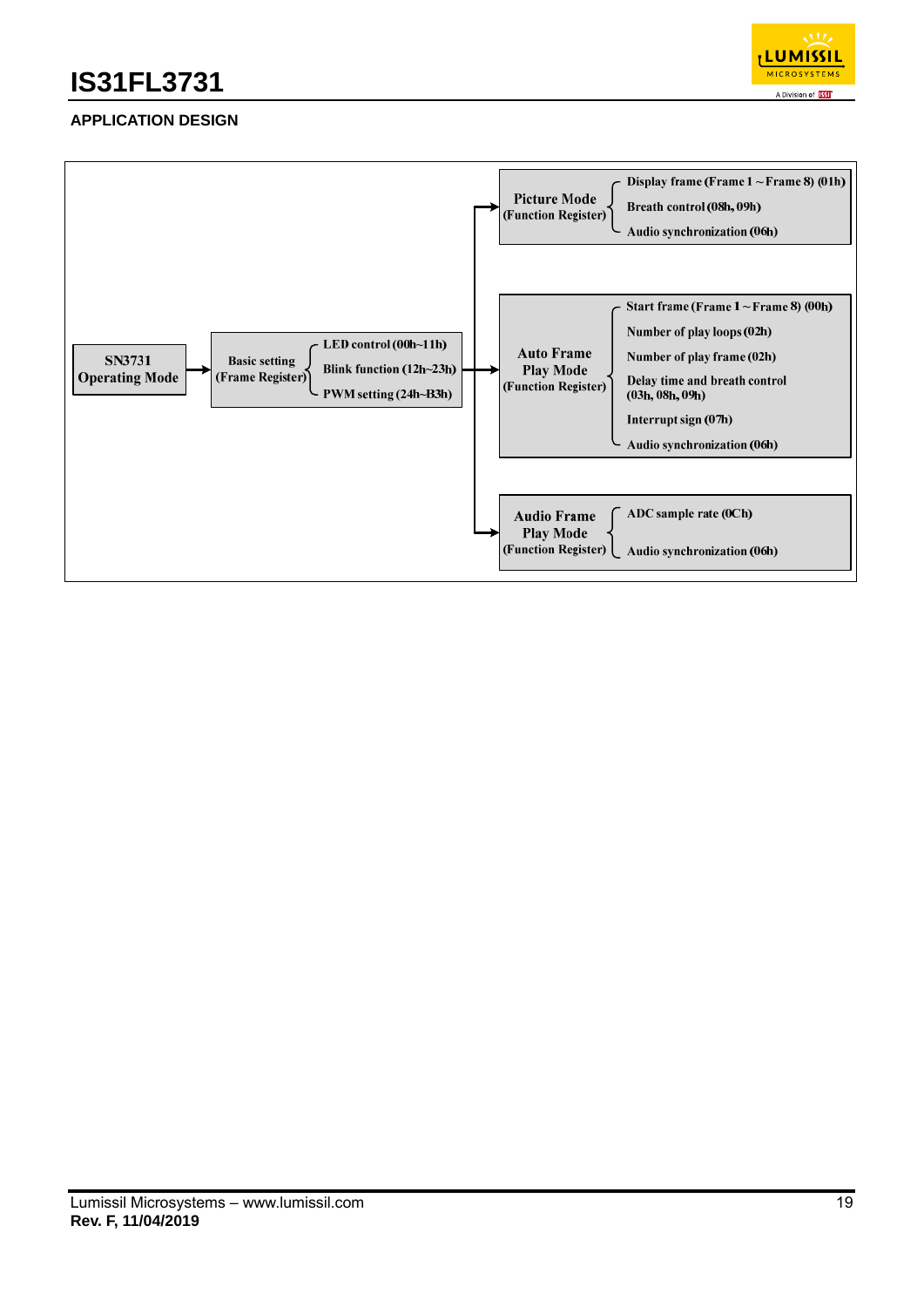

## **APPLICATION DESIGN**

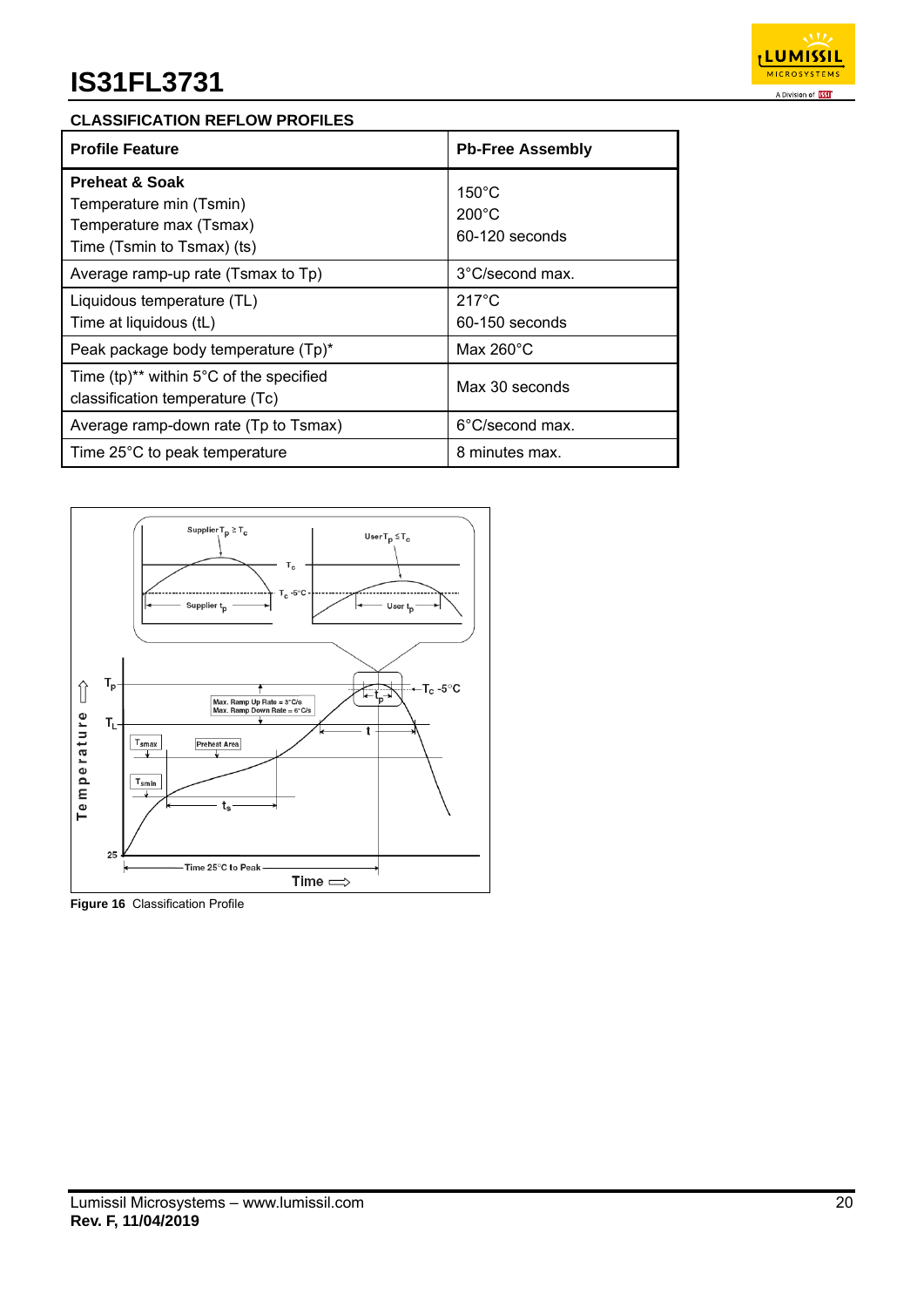

### **CLASSIFICATION REFLOW PROFILES**

| <b>Profile Feature</b>                                                                                        | <b>Pb-Free Assembly</b>                              |
|---------------------------------------------------------------------------------------------------------------|------------------------------------------------------|
| <b>Preheat &amp; Soak</b><br>Temperature min (Tsmin)<br>Temperature max (Tsmax)<br>Time (Tsmin to Tsmax) (ts) | $150^{\circ}$ C<br>$200^{\circ}$ C<br>60-120 seconds |
| Average ramp-up rate (Tsmax to Tp)                                                                            | 3°C/second max.                                      |
| Liquidous temperature (TL)<br>Time at liquidous (tL)                                                          | $217^{\circ}$ C<br>60-150 seconds                    |
| Peak package body temperature (Tp)*                                                                           | Max $260^{\circ}$ C                                  |
| Time (tp) <sup>**</sup> within $5^{\circ}$ C of the specified<br>classification temperature (Tc)              | Max 30 seconds                                       |
| Average ramp-down rate (Tp to Tsmax)                                                                          | 6°C/second max.                                      |
| Time 25°C to peak temperature                                                                                 | 8 minutes max.                                       |



**Figure 16** Classification Profile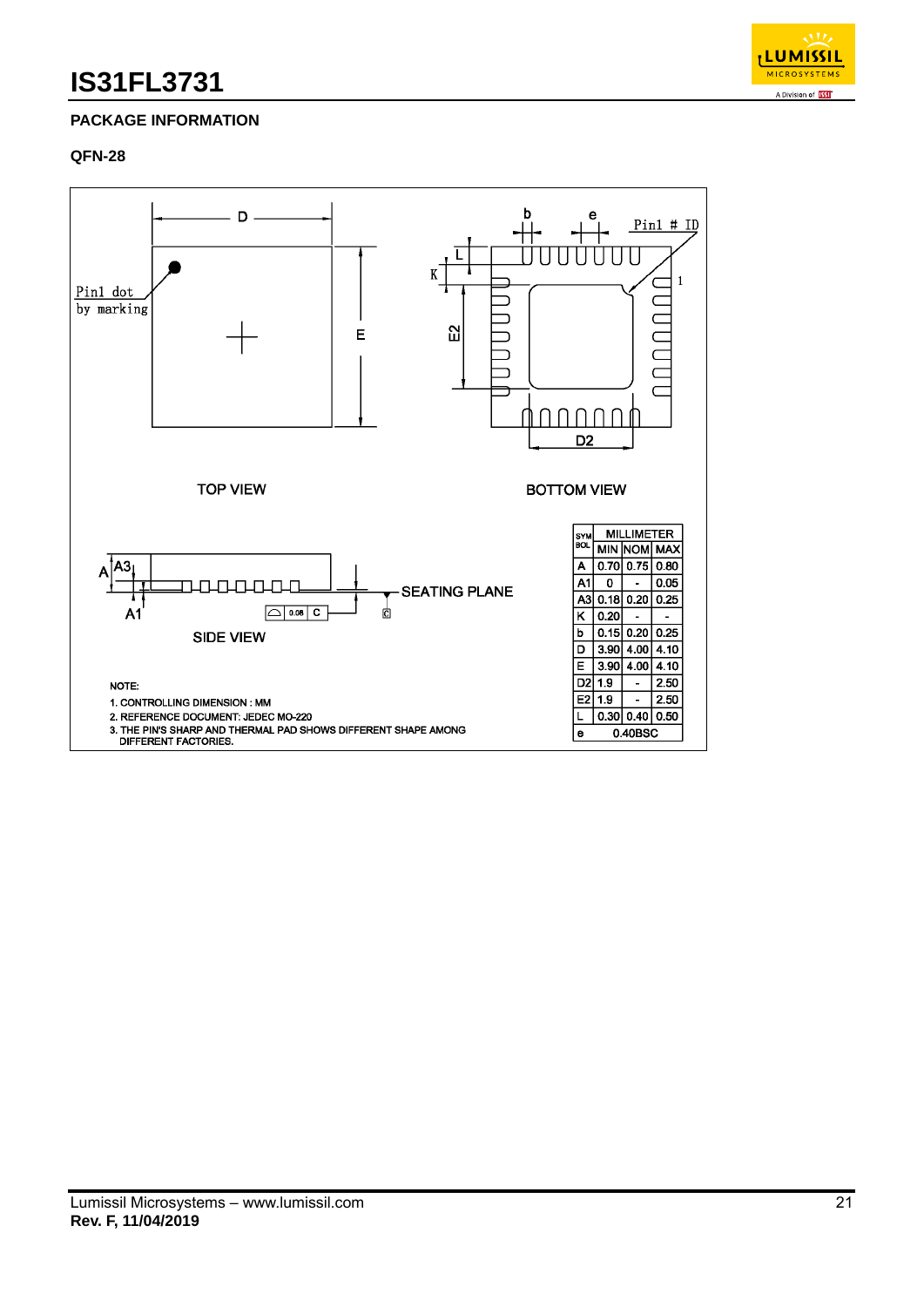

## **PACKAGE INFORMATION**

#### **QFN-28**

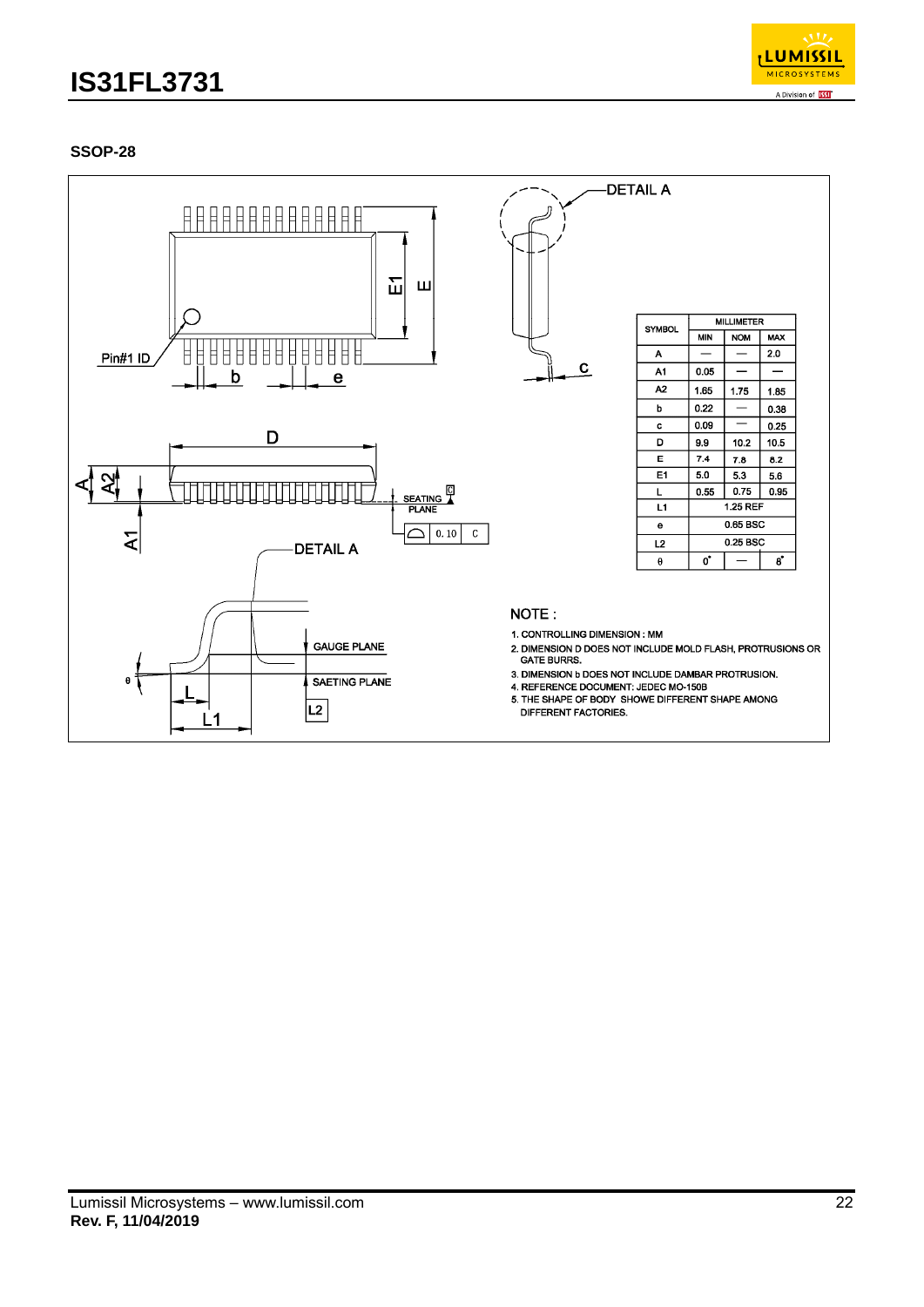

## **SSOP-28**

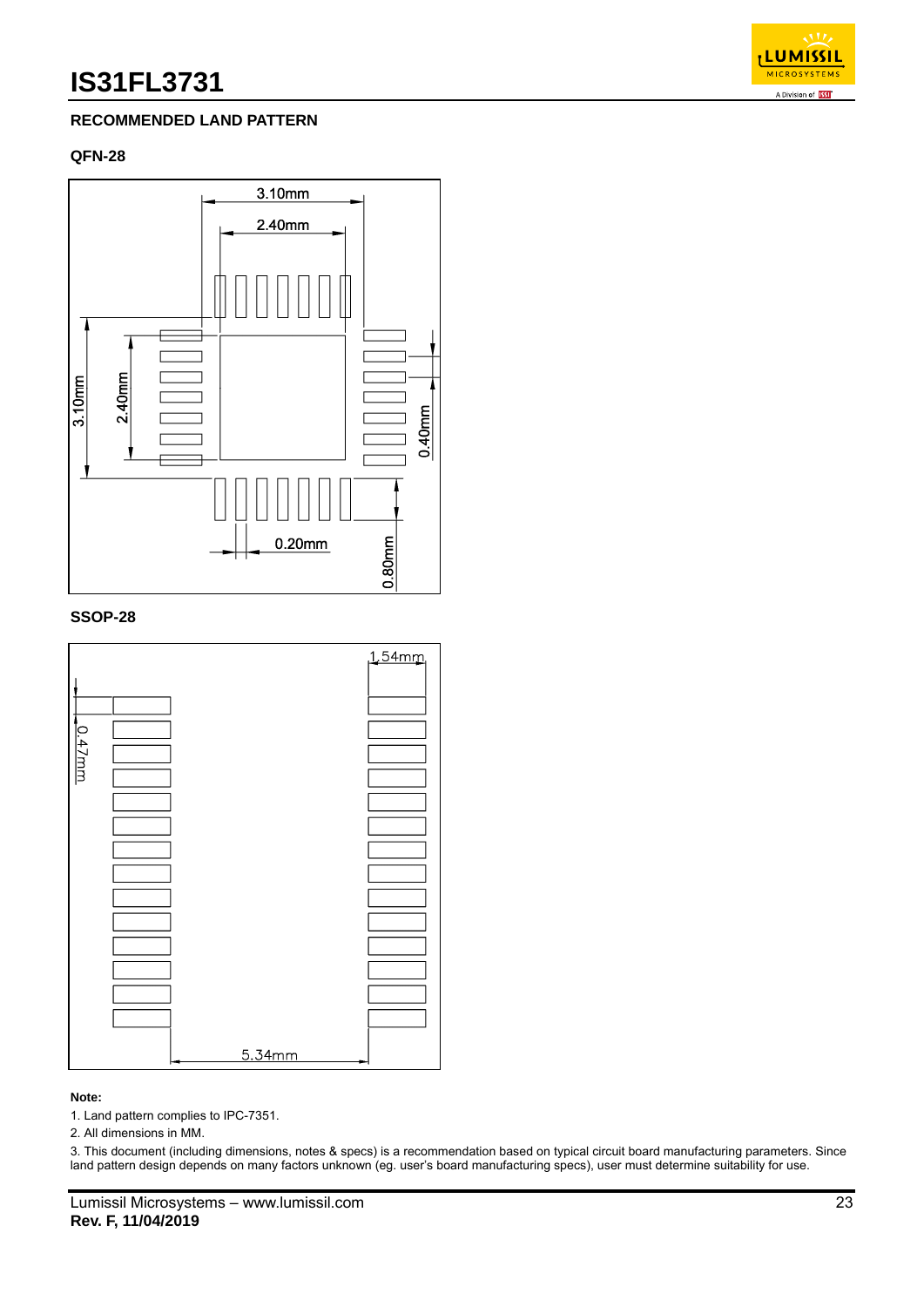## **LUMISSII MICROSYSTEM** A Division of **133**

### **RECOMMENDED LAND PATTERN**

#### **QFN-28**



#### **SSOP-28**



#### **Note:**

1. Land pattern complies to IPC-7351.

2. All dimensions in MM.

3. This document (including dimensions, notes & specs) is a recommendation based on typical circuit board manufacturing parameters. Since land pattern design depends on many factors unknown (eg. user's board manufacturing specs), user must determine suitability for use.